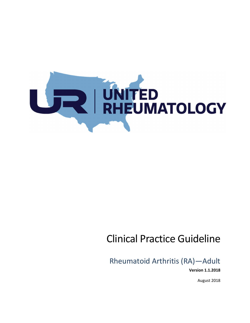

# Clinical Practice Guideline

Rheumatoid Arthritis (RA)—Adult **Version 1.1.2018** 

August 2018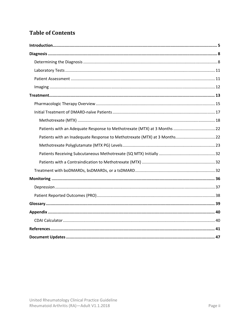# **Table of Contents**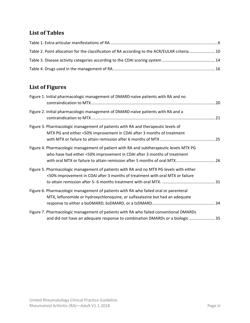# **List of Tables**

| Table 2. Point allocation for the classification of RA according to the ACR/EULAR criteria  10 |  |
|------------------------------------------------------------------------------------------------|--|
|                                                                                                |  |
|                                                                                                |  |

# **List of Figures**

| Figure 1. Initial pharmacologic management of DMARD-naïve patients with RA and no                                                                                                                                                                |  |
|--------------------------------------------------------------------------------------------------------------------------------------------------------------------------------------------------------------------------------------------------|--|
| Figure 2. Initial pharmacologic management of DMARD-naïve patients with RA and a                                                                                                                                                                 |  |
| Figure 3. Pharmacologic management of patients with RA and therapeutic levels of<br>MTX PG and either <50% improvement in CDAI after 3 months of treatment                                                                                       |  |
| Figure 4. Pharmacologic management of patient with RA and subtherapeutic levels MTX PG<br>who have had either <50% improvement in CDAI after 3 months of treatment<br>with oral MTX or failure to attain remission after 5 months of oral MTX 26 |  |
| Figure 5. Pharmacologic management of patients with RA and no MTX PG levels with either<br><50% improvement in CDAI after 3 months of treatment with oral MTX or failure                                                                         |  |
| Figure 6. Pharmacologic management of patients with RA who failed oral or parenteral<br>MTX, leflunomide or hydroxychloroquine, or sulfasalazine but had an adequate                                                                             |  |
| Figure 7. Pharmacologic management of patients with RA who failed conventional DMARDs<br>and did not have an adequate response to combination DMARDs or a biologic 35                                                                            |  |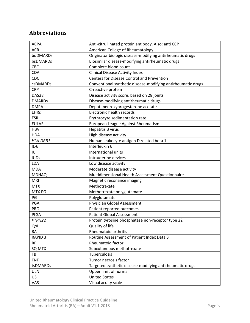# **Abbreviations**

| <b>ACPA</b>    | Anti-citrullinated protein antibody. Also: anti CCP          |
|----------------|--------------------------------------------------------------|
| <b>ACR</b>     | American College of Rheumatology                             |
| boDMARDs       | Originator biologic disease-modifying antirheumatic drugs    |
| bsDMARDs       | Biosimilar disease-modifying antirheumatic drugs             |
| <b>CBC</b>     | Complete blood count                                         |
| <b>CDAI</b>    | <b>Clinical Disease Activity Index</b>                       |
| <b>CDC</b>     | Centers for Disease Control and Prevention                   |
| csDMARDs       | Conventional synthetic disease-modifying antirheumatic drugs |
| <b>CRP</b>     | C-reactive protein                                           |
| DAS28          | Disease activity score, based on 28 joints                   |
| <b>DMARDs</b>  | Disease-modifying antirheumatic drugs                        |
| <b>DMPA</b>    | Depot medroxyprogesterone acetate                            |
| <b>EHRs</b>    | Electronic health records                                    |
| <b>ESR</b>     | Erythrocyte sedimentation rate                               |
| <b>EULAR</b>   | European League Against Rheumatism                           |
| <b>HBV</b>     | <b>Hepatitis B virus</b>                                     |
| <b>HDA</b>     | High disease activity                                        |
| HLA-DRB1       | Human leukocyte antigen D related beta 1                     |
| $IL-6$         | Interleukin 6                                                |
| IU             | International units                                          |
| <b>IUDs</b>    | Intrauterine devices                                         |
| LDA            | Low disease activity                                         |
| <b>MDA</b>     | Moderate disease activity                                    |
| <b>MDHAQ</b>   | Multidimensional Health Assessment Questionnaire             |
| <b>MRI</b>     | Magnetic resonance imaging                                   |
| <b>MTX</b>     | Methotrexate                                                 |
| <b>MTX PG</b>  | Methotrexate polyglutamate                                   |
| PG             | Polyglutamate                                                |
| PGA            | Physician Global Assessment                                  |
| PRO            | Patient reported outcomes                                    |
| PtGA           | <b>Patient Global Assessment</b>                             |
| PTPN22         | Protein tyrosine phosphatase non-receptor type 22            |
| QoL            | Quality of life                                              |
| <b>RA</b>      | Rheumatoid arthritis                                         |
| <b>RAPID 3</b> | Routine Assessment of Patient Index Data 3                   |
| <b>RF</b>      | Rheumatoid factor                                            |
| SQ MTX         | Subcutaneous methotrexate                                    |
| TB             | Tuberculosis                                                 |
| <b>TNF</b>     | Tumor necrosis factor                                        |
| tsDMARDs       | Targeted synthetic disease-modifying antirheumatic drugs     |
| <b>ULN</b>     | Upper limit of normal                                        |
| US             | <b>United States</b>                                         |
| VAS            | Visual acuity scale                                          |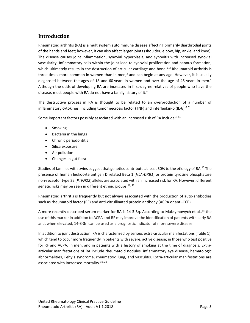# **Introduction**

Rheumatoid arthritis (RA) is a multisystem autoimmune disease affecting primarily diarthrodial joints of the hands and feet; however, it can also affect larger joints (shoulder, elbow, hip, ankle, and knee). The disease causes joint inflammation, synovial hyperplasia, and synovitis with increased synovial vascularity. Inflammatory cells within the joint lead to synovial proliferation and pannus formation, which ultimately results in the destruction of articular cartilage and bone.<sup>1,2</sup> Rheumatoid arthritis is three times more common in women than in men,<sup>3</sup> and can begin at any age. However, it is usually diagnosed between the ages of 18 and 60 years in women and over the age of 45 years in men.<sup>4</sup> Although the odds of developing RA are increased in first-degree relatives of people who have the disease, most people with RA do not have a family history of it.<sup>5</sup>

The destructive process in RA is thought to be related to an overproduction of a number of inflammatory cytokines, including tumor necrosis factor (TNF) and interleukin-6 (IL-6).<sup>6, 7</sup>

Some important factors possibly associated with an increased risk of RA include:<sup>8-14</sup>

- Smoking
- Bacteria in the lungs
- Chronic periodontitis
- Silica exposure
- Air pollution
- Changes in gut flora

Studies of families with twins suggest that genetics contribute at least 50% to the etiology of RA.15 The presence of human leukocyte antigen D related Beta 1 (*HLA‐DRB1*) or protein tyrosine phosphatase non‐receptor type 22 (*PTPN22*) alleles are associated with an increased risk for RA. However, different genetic risks may be seen in different ethnic groups.<sup>16, 17</sup>

Rheumatoid arthritis is frequently but not always associated with the production of auto‐antibodies such as rheumatoid factor (RF) and anti-citrullinated protein antibody (ACPA or anti-CCP).

A more recently described serum marker for RA is  $14$ -3-3η. According to Maksymowych et al.,<sup>18</sup> the use of this marker in addition to ACPA and RF may improve the identification of patients with early RA and, when elevated, 14‐3‐3η can be used as a prognostic indicator of more severe disease.

In addition to joint destruction, RA is characterized by serious extra-articular manifestations (Table 1), which tend to occur more frequently in patients with severe, active disease; in those who test positive for RF and ACPA; in men; and in patients with a history of smoking at the time of diagnosis. Extraarticular manifestations of RA include rheumatoid nodules, inflammatory eye disease, hematologic abnormalities, Felty's syndrome, rheumatoid lung, and vasculitis. Extra-articular manifestations are associated with increased mortality.<sup>19, 20</sup>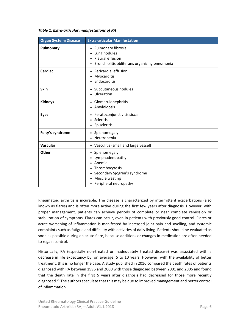*Table 1. Extra‐articular manifestations of RA* 

| <b>Organ System/Disease</b> | <b>Extra-articular Manifestation</b>                                                                                                                    |
|-----------------------------|---------------------------------------------------------------------------------------------------------------------------------------------------------|
| Pulmonary                   | Pulmonary fibrosis<br>Lung nodules<br>Pleural effusion<br>Bronchiolitis obliterans organizing pneumonia                                                 |
| Cardiac                     | Pericardial effusion<br>Myocarditis<br>Endocarditis                                                                                                     |
| <b>Skin</b>                 | • Subcutaneous nodules<br>Ulceration                                                                                                                    |
| <b>Kidneys</b>              | • Glomerulonephritis<br>• Amyloidosis                                                                                                                   |
| <b>Eyes</b>                 | Keratoconjunctivitis sicca<br>Scleritis<br>Episcleritis                                                                                                 |
| Felty's syndrome            | • Splenomegaly<br>Neutropenia                                                                                                                           |
| Vascular                    | • Vasculitis (small and large vessel)                                                                                                                   |
| Other                       | • Splenomegaly<br>Lymphadenopathy<br>Anemia<br>Thrombocytosis<br>Secondary Sjögren's syndrome<br>$\bullet$<br>Muscle wasting<br>• Peripheral neuropathy |

Rheumatoid arthritis is incurable. The disease is characterized by intermittent exacerbations (also known as flares) and is often more active during the first few years after diagnosis. However, with proper management, patients can achieve periods of complete or near complete remission or stabilization of symptoms. Flares can occur, even in patients with previously good control. Flares or acute worsening of inflammation is manifested by increased joint pain and swelling, and systemic complaints such as fatigue and difficulty with activities of daily living. Patients should be evaluated as soon as possible during an acute flare, because additions or changes in medication are often needed to regain control.

Historically, RA (especially non-treated or inadequately treated disease) was associated with a decrease in life expectancy by, on average, 5 to 10 years. However, with the availability of better treatment, this is no longer the case. A study published in 2016 compared the death rates of patients diagnosed with RA between 1996 and 2000 with those diagnosed between 2001 and 2006 and found that the death rate in the first 5 years after diagnosis had decreased for those more recently diagnosed.<sup>21</sup> The authors speculate that this may be due to improved management and better control of inflammation.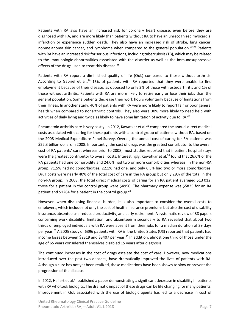Patients with RA also have an increased risk for coronary heart disease, even before they are diagnosed with RA, and are more likely than patients without RA to have an unrecognized myocardial infarction or experience sudden death. They also have an increased risk of stroke, lung cancer, nonmelanoma skin cancer, and lymphoma when compared to the general population.<sup>22-24</sup> Patients with RA have an increased risk for serious infections, including tuberculosis (TB), which may be related to the immunologic abnormalities associated with the disorder as well as the immunosuppressive effects of the drugs used to treat this disease.<sup>25</sup>

Patients with RA report a diminished quality of life (QoL) compared to those without arthritis. According to Gabriel et  $al.<sup>26</sup>$  15% of patients with RA reported that they were unable to find employment because of their disease, as opposed to only 3% of those with osteoarthritis and 1% of those without arthritis. Patients with RA are more likely to retire early or lose their jobs than the general population. Some patients decrease their work hours voluntarily because of limitations from their illness. In another study, 40% of patients with RA were more likely to report fair or poor general health when compared to nonarthritic controls. They also were 30% more likely to need help with activities of daily living and twice as likely to have some limitation of activity due to RA.<sup>27</sup>

Rheumatoid arthritis care is very costly. In 2012, Kawatkar et al. $^{28}$  compared the annual direct medical costs associated with caring for these patients with a control group of patients without RA, based on the 2008 Medical Expenditure Panel Survey. Overall, the annual cost of caring for RA patients was \$22.3 billion dollars in 2008. Importantly, the cost of drugs was the greatest contributor to the overall cost of RA patients' care, whereas prior to 2008, most studies reported that inpatient hospital stays were the greatest contributor to overall costs. Interestingly, Kawatkar et al.<sup>28</sup> found that 26.6% of the RA patients had one comorbidity and 24.0% had two or more comorbidities whereas, in the non‐RA group, 71.5% had no comorbidities, 22.1% had one, and only 6.5% had two or more comorbidities. Drug costs were nearly 40% of the total cost of care in the RA group but only 29% of the total in the non‐RA group. In 2008, the total direct medical costs of caring for an RA patient averaged \$13 012; those for a patient in the control group were \$4950. The pharmacy expense was \$5825 for an RA patient and \$1264 for a patient in the control group.<sup>28</sup>

However, when discussing financial burden, it is also important to consider the overall costs to employers, which include not only the cost of health insurance premiums but also the cost of disability insurance, absenteeism, reduced productivity, and early retirement. A systematic review of 38 papers concerning work disability, limitation, and absenteeism secondary to RA revealed that about two thirds of employed individuals with RA were absent from their jobs for a median duration of 39 days per year.<sup>29</sup> A 2005 study of 6396 patients with RA in the United States (US) reported that patients had income losses between \$2319 and \$3407 per year.<sup>30</sup> In addition, almost one third of those under the age of 65 years considered themselves disabled 15 years after diagnosis.

The continued increases in the cost of drugs escalate the cost of care. However, new medications introduced over the past two decades, have dramatically improved the lives of patients with RA. Although a cure has not yet been realized, these medications have been shown to slow or prevent the progression of the disease.

In 2012, Hallert et al.<sup>31</sup> published a paper demonstrating a significant decrease in disability in patients with RA who took biologics. The dramatic impact of these drugs can be life changing for many patients. Improvement in QoL associated with the use of biologic agents has led to a decrease in cost of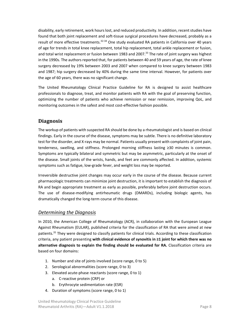disability, early retirement, work hours lost, and reduced productivity. In addition, recent studies have found that both joint replacement and soft‐tissue surgical procedures have decreased, probably as a result of more effective treatments.<sup>32-34</sup> One study evaluated RA patients in California over 40 years of age for trends in total knee replacement, total hip replacement, total ankle replacement or fusion, and total wrist replacement or fusion between 1983 and 2007.<sup>33</sup> The rate of joint surgery was highest in the 1990s. The authors reported that, for patients between 40 and 59 years of age, the rate of knee surgery decreased by 19% between 2003 and 2007 when compared to knee surgery between 1983 and 1987; hip surgery decreased by 40% during the same time interval. However, for patients over the age of 60 years, there was no significant change.

The United Rheumatology Clinical Practice Guideline for RA is designed to assist healthcare professionals to diagnose, treat, and monitor patients with RA with the goal of preserving function, optimizing the number of patients who achieve remission or near remission, improving QoL, and monitoring outcomes in the safest and most cost-effective fashion possible.

### **Diagnosis**

The workup of patients with suspected RA should be done by a rheumatologist and is based on clinical findings. Early in the course of the disease, symptoms may be subtle. There is no definitive laboratory test for the disorder, and X‐rays may be normal. Patients usually present with complaints of joint pain, tenderness, swelling, and stiffness. Prolonged morning stiffness lasting ≥30 minutes is common. Symptoms are typically bilateral and symmetric but may be asymmetric, particularly at the onset of the disease. Small joints of the wrists, hands, and feet are commonly affected. In addition, systemic symptoms such as fatigue, low-grade fever, and weight loss may be reported.

Irreversible destructive joint changes may occur early in the course of the disease. Because current pharmacologic treatments can minimize joint destruction, it is important to establish the diagnosis of RA and begin appropriate treatment as early as possible, preferably before joint destruction occurs. The use of disease‐modifying antirheumatic drugs (DMARDs), including biologic agents, has dramatically changed the long‐term course of this disease.

#### *Determining the Diagnosis*

In 2010, the American College of Rheumatology (ACR), in collaboration with the European League Against Rheumatism (EULAR), published criteria for the classification of RA that were aimed at new patients.<sup>35</sup> They were designed to classify patients for clinical trials. According to these classification criteria, any patient presenting **with clinical evidence of synovitis in ≥1 joint for which there was no alternative diagnosis to explain the finding should be evaluated for RA.** Classification criteria are based on four domains:

- 1. Number and site of joints involved (score range, 0 to 5)
- 2. Serological abnormalities (score range, 0 to 3)
- 3. Elevated acute‐phase reactants (score range, 0 to 1)
	- a. C‐reactive protein (CRP) or
	- b. Erythrocyte sedimentation rate (ESR)
- 4. Duration of symptoms (score range, 0 to 1)

United Rheumatology Clinical Practice Guideline Rheumatoid Arthritis (RA)—Adult V1.1.2018 Page 8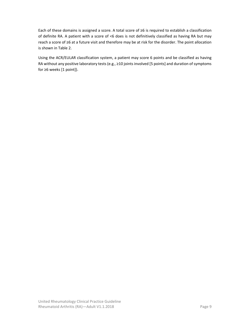Each of these domains is assigned a score. A total score of ≥6 is required to establish a classification of definite RA. A patient with a score of <6 does is not definitively classified as having RA but may reach a score of ≥6 at a future visit and therefore may be at risk for the disorder. The point allocation is shown in Table 2.

Using the ACR/EULAR classification system, a patient may score 6 points and be classified as having RA without any positive laboratory tests (e.g., ≥10 joints involved [5 points] and duration of symptoms for ≥6 weeks [1 point]).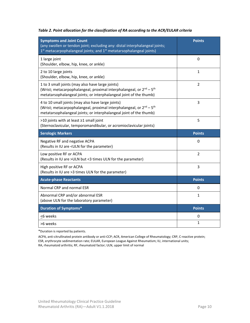| <b>Symptoms and Joint Count</b><br>(any swollen or tendon joint; excluding any: distal interphalangeal joints;<br>1 <sup>st</sup> metacarpophalangeal joints; and 1 <sup>st</sup> metatarsophalangeal joints)          | <b>Points</b>  |
|------------------------------------------------------------------------------------------------------------------------------------------------------------------------------------------------------------------------|----------------|
| 1 large joint<br>(Shoulder, elbow, hip, knee, or ankle)                                                                                                                                                                | 0              |
| 2 to 10 large joints<br>(Shoulder, elbow, hip, knee, or ankle)                                                                                                                                                         | 1              |
| 1 to 3 small joints (may also have large joints)<br>(Wrist; metacarpophalangeal, proximal interphalangeal, or 2 <sup>nd</sup> - 5 <sup>th</sup><br>metatarsophalangeal joints; or interphalangeal joint of the thumb)  | $\overline{2}$ |
| 4 to 10 small joints (may also have large joints)<br>(Wrist; metacarpophalangeal, proximal interphalangeal, or 2 <sup>nd</sup> - 5 <sup>th</sup><br>metatarsophalangeal joints; or interphalangeal joint of the thumb) | 3              |
| >10 joints with at least ≥1 small joint<br>(Sternoclavicular, temporomandibular, or acromioclavicular joints)                                                                                                          | 5              |
|                                                                                                                                                                                                                        |                |
| <b>Serologic Markers</b>                                                                                                                                                                                               | <b>Points</b>  |
| Negative RF and negative ACPA<br>(Results in IU are <uln for="" parameter)<="" td="" the=""><td>0</td></uln>                                                                                                           | 0              |
| Low positive RF or ACPA<br>(Results in IU are >ULN but <3 times ULN for the parameter)                                                                                                                                 | $\overline{2}$ |
| High positive RF or ACPA<br>(Results in IU are > 3 times ULN for the parameter)                                                                                                                                        | 3              |
| <b>Acute-phase Reactants</b>                                                                                                                                                                                           | <b>Points</b>  |
| Normal CRP and normal ESR                                                                                                                                                                                              | 0              |
| Abnormal CRP and/or abnormal ESR<br>(above ULN for the laboratory parameter)                                                                                                                                           | 1              |
| <b>Duration of Symptoms*</b>                                                                                                                                                                                           | <b>Points</b>  |
| <6 weeks                                                                                                                                                                                                               | 0              |

#### *Table 2. Point allocation for the classification of RA according to the ACR/EULAR criteria*

\*Duration is reported by patients.

ACPA, anti-citrullinated protein antibody or anti-CCP; ACR, American College of Rheumatology; CRP, C-reactive protein; ESR, erythrocyte sedimentation rate; EULAR, European League Against Rheumatism; IU, international units;

RA, rheumatoid arthritis; RF, rheumatoid factor; ULN, upper limit of normal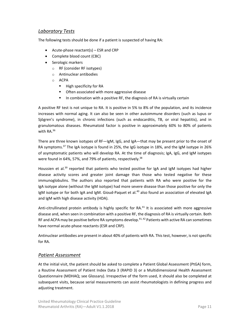#### *Laboratory Tests*

The following tests should be done if a patient is suspected of having RA:

- Acute-phase reactant(s) ESR and CRP
- Complete blood count (CBC)
- Serologic markers
	- o RF (consider RF isotypes)
	- o Antinuclear antibodies
	- o ACPA
		- $\blacksquare$  High specificity for RA
		- **•** Often associated with more aggressive disease
		- In combination with a positive RF, the diagnosis of RA is virtually certain

A positive RF test is not unique to RA. It is positive in 5% to 8% of the population, and its incidence increases with normal aging. It can also be seen in other autoimmune disorders (such as lupus or Sjögren's syndrome), in chronic infections (such as endocarditis, TB, or viral hepatitis), and in granulomatous diseases. Rheumatoid factor is positive in approximately 60% to 80% of patients with RA.36

There are three known isotypes of RF—IgM, IgG, and IgA—that may be present prior to the onset of RA symptoms.<sup>37</sup> The IgA isotype is found in 25%, the IgG isotype in 18%, and the IgM isotype in 26% of asymptomatic patients who will develop RA. At the time of diagnosis; IgA, IgG, and IgM isotypes were found in 64%, 57%, and 79% of patients, respectively.<sup>38</sup>

Houssien et al.<sup>39</sup> reported that patients who tested positive for IgA and IgM isotypes had higher disease activity scores and greater joint damage than those who tested negative for these immunoglobulins. The authors also reported that patients with RA who were positive for the IgA isotype alone (without the IgM isotype) had more severe disease than those positive for only the IgM isotype or for both IgA and IgM. Gioud-Paquet et al.<sup>40</sup> also found an association of elevated IgA and IgM with high disease activity (HDA).

Anti-citrullinated protein antibody is highly specific for  $RA^{41}$  It is associated with more aggressive disease and, when seen in combination with a positive RF, the diagnosis of RA is virtually certain. Both RF and ACPA may be positive before RA symptoms develop.<sup>41,42</sup> Patients with active RA can sometimes have normal acute‐phase reactants (ESR and CRP).

Antinuclear antibodies are present in about 40% of patients with RA. This test, however, is not specific for RA.

#### *Patient Assessment*

At the initial visit, the patient should be asked to complete a Patient Global Assessment (PtGA) form, a Routine Assessment of Patient Index Data 3 (RAPID 3) or a Multidimensional Health Assessment Questionnaire (MDHAQ; see Glossary). Irrespective of the form used, it should also be completed at subsequent visits, because serial measurements can assist rheumatologists in defining progress and adjusting treatment.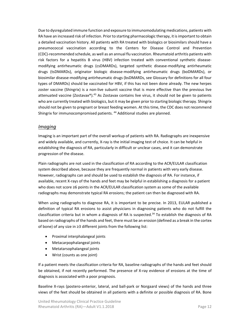Due to dysregulated immune function and exposure to immunomodulating medications, patients with RA have an increased risk of infection. Prior to starting pharmacologic therapy, it is important to obtain a detailed vaccination history. All patients with RA treated with biologics or biosimilars should have a pneumococcal vaccination according to the Centers for Disease Control and Prevention (CDC)‐recommended schedule, as well as an annual flu vaccination. Rheumatoid arthritis patients with risk factors for a hepatitis B virus (HBV) infection treated with conventional synthetic diseasemodifying antirheumatic drugs (csDMARDs), targeted synthetic disease-modifying antirheumatic drugs (tsDMARDs), originator biologic disease‐modifying antirheumatic drugs (boDMARDs), or biosimilar disease‐modifying antirheumatic drugs (bsDMARDs, see Glossary for definitions for all four types of DMARDs) should be vaccinated for HBV, if this has not been done already. The new herpes zoster vaccine (Shingrix) is a non-live subunit vaccine that is more effective than the previous live attenuated vaccine (Zostavax®).<sup>43</sup> As Zostavax contains live virus, it should not be given to patients who are currently treated with biologics, but it may be given prior to starting biologic therapy. Shingrix should not be given to pregnant or breast feeding women. At this time, the CDC does not recommend Shingrix for immunocompromised patients.<sup>44</sup> Additional studies are planned.

#### *Imaging*

Imaging is an important part of the overall workup of patients with RA. Radiographs are inexpensive and widely available, and currently, X-ray is the initial imaging test of choice. It can be helpful in establishing the diagnosis of RA, particularly in difficult or unclear cases, and it can demonstrate progression of the disease.

Plain radiographs are not used in the classification of RA according to the ACR/EULAR classification system described above, because they are frequently normal in patients with very early disease. However, radiographs can and should be used to establish the diagnosis of RA. For instance, if available, recent X‐rays of the hands and feet may be helpful in establishing a diagnosis for a patient who does not score ≥6 points in the ACR/EULAR classification system as some of the available radiographs may demonstrate typical RA erosions; the patient can then be diagnosed with RA.

When using radiographs to diagnose RA, it is important to be precise. In 2013, EULAR published a definition of typical RA erosions to assist physicians in diagnosing patients who do not fulfill the classification criteria but in whom a diagnosis of RA is suspected.<sup>34</sup> To establish the diagnosis of RA based on radiographs of the hands and feet, there must be an erosion (defined as a break in the cortex of bone) of any size in ≥3 different joints from the following list:

- Proximal interphalangeal joints
- Metacarpophalangeal joints
- Metatarsophalangeal joints
- Wrist (counts as one joint)

If a patient meets the classification criteria for RA, baseline radiographs of the hands and feet should be obtained, if not recently performed. The presence of X-ray evidence of erosions at the time of diagnosis is associated with a poor prognosis.

Baseline X-rays (postero-anterior, lateral, and ball-park or Norgaard views) of the hands and three views of the feet should be obtained in all patients with a definite or possible diagnosis of RA. Bone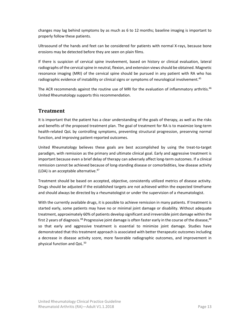changes may lag behind symptoms by as much as 6 to 12 months; baseline imaging is important to properly follow these patients.

Ultrasound of the hands and feet can be considered for patients with normal X‐rays, because bone erosions may be detected before they are seen on plain films.

If there is suspicion of cervical spine involvement, based on history or clinical evaluation, lateral radiographs of the cervical spine in neutral, flexion, and extension views should be obtained. Magnetic resonance imaging (MRI) of the cervical spine should be pursued in any patient with RA who has radiographic evidence of instability or clinical signs or symptoms of neurological involvement.<sup>45</sup>

The ACR recommends against the routine use of MRI for the evaluation of inflammatory arthritis.<sup>46</sup> United Rheumatology supports this recommendation.

### **Treatment**

It is important that the patient has a clear understanding of the goals of therapy, as well as the risks and benefits of the proposed treatment plan. The goal of treatment for RA is to maximize long‐term health-related QoL by controlling symptoms, preventing structural progression, preserving normal function, and improving patient‐reported outcomes.

United Rheumatology believes these goals are best accomplished by using the treat‐to‐target paradigm, with remission as the primary and ultimate clinical goal. Early and aggressive treatment is important because even a brief delay of therapy can adversely affect long-term outcomes. If a clinical remission cannot be achieved because of long‐standing disease or comorbidities, low disease activity (LDA) is an acceptable alternative. $47$ 

Treatment should be based on accepted, objective, consistently utilized metrics of disease activity. Drugs should be adjusted if the established targets are not achieved within the expected timeframe and should always be directed by a rheumatologist or under the supervision of a rheumatologist.

With the currently available drugs, it is possible to achieve remission in many patients. If treatment is started early, some patients may have no or minimal joint damage or disability. Without adequate treatment, approximately 60% of patients develop significant and irreversible joint damage within the first 2 years of diagnosis.<sup>48</sup> Progressive joint damage is often faster early in the course of the disease,<sup>49</sup> so that early and aggressive treatment is essential to minimize joint damage. Studies have demonstrated that this treatment approach is associated with better therapeutic outcomes including a decrease in disease activity score, more favorable radiographic outcomes, and improvement in physical function and QoL.<sup>50</sup>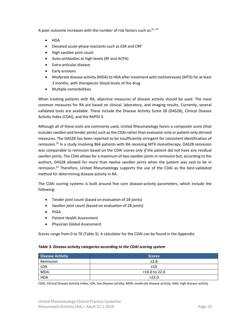A poor outcome increases with the number of risk factors such as: $51, 52$ 

- **HDA**
- Elevated acute‐phase reactants such as ESR and CRP
- High swollen joint count
- Auto‐antibodies at high levels (RF and ACPA)
- Extra‐articular disease
- Early erosions
- Moderate disease activity (MDA) to HDA after treatment with methotrexate (MTX) for at least 3 months, with therapeutic blood levels of the drug
- Multiple comorbidities

When treating patients with RA, objective measures of disease activity should be used. The most common measures for RA are based on clinical, laboratory, and imaging results. Currently, several validated tools are available. These include the Disease Activity Score 28 (DAS28), Clinical Disease Activity Index (CDAI), and the RAPID 3.

Although all of these tools are commonly used, United Rheumatology favors a composite score (that includes swollen and tender joints) such as the CDAI rather than evaluator-only or patient-only derived measures. The DAS28 has been reported to be insufficiently stringent for consistent identification of remission.<sup>53</sup> In a study involving 864 patients with RA receiving MTX monotherapy, DAS28 remission was comparable to remission based on the CDAI scores *only if* the patient did not have any residual swollen joints. The CDAI allows for a maximum of two swollen joints in remission but, according to the authors, DAS28 allowed for more than twelve swollen joints when the patient was said to be in remission.<sup>54</sup> Therefore, United Rheumatology supports the use of the CDAI as the best-validated method for determining disease activity in RA.

The CDAI scoring systems is built around five core disease-activity parameters, which include the following:

- Tender joint count (based on evaluation of 28 joints)
- Swollen joint count (based on evaluation of 28 joints)
- PtGA
- Patient Health Assessment
- Physician Global Assessment

Scores range from 0 to 76 (Table 3). A calculator for the CDAI can be found in the Appendix.

#### *Table 3. Disease activity categories according to the CDAI scoring system*

| <b>Disease Activity</b> | <b>Scores</b>   |
|-------------------------|-----------------|
| Remission               | ≤2.8            |
| <b>LDA</b>              | $\leq 10$       |
| <b>MDA</b>              | $>10.0$ to 22.0 |
| <b>HDA</b>              | >22.0           |

CDAI, Clinical Disease Activity Index; LDA, low disease activity; MDA, moderate disease activity; HAD, high disease activity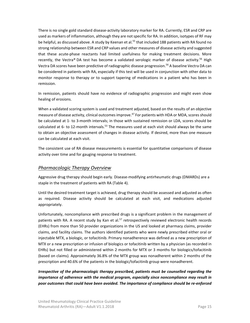There is no single gold standard disease‐activity laboratory marker for RA. Currently, ESR and CRP are used as markers of inflammation, although they are not specific for RA. In addition, isotypes of RF may be helpful, as discussed above. A study by Keenan et al.<sup>55</sup> that included 188 patients with RA found no strong relationship between ESR and CRP values and other measures of disease activity and suggested that these acute-phase reactants had limited usefulness for making treatment decisions. More recently, the Vectra® DA test has become a validated serologic marker of disease activity.<sup>56</sup> High Vectra DA scores have been predictive of radiographic disease progression.<sup>56</sup> A baseline Vectra DA can be considered in patients with RA, especially if this test will be used in conjunction with other data to monitor response to therapy or to support tapering of medications in a patient who has been in remission.

In remission, patients should have no evidence of radiographic progression and might even show healing of erosions.

When a validated scoring system is used and treatment adjusted, based on the results of an objective measure of disease activity, clinical outcomes improve.<sup>47</sup> For patients with HDA or MDA, scores should be calculated at 1‐ to 3‐month intervals; in those with sustained remission or LDA, scores should be calculated at 6- to 12-month intervals.<sup>53</sup> The measures used at each visit should always be the same to obtain an objective assessment of changes in disease activity. If desired, more than one measure can be calculated at each visit.

The consistent use of RA disease measurements is essential for quantitative comparisons of disease activity over time and for gauging response to treatment.

#### *Pharmacologic Therapy Overview*

Aggressive drug therapy should begin early. Disease‐modifying antirheumatic drugs (DMARDs) are a staple in the treatment of patients with RA (Table 4).

Until the desired treatment target is achieved, drug therapy should be assessed and adjusted as often as required. Disease activity should be calculated at each visit, and medications adjusted appropriately.

Unfortunately, noncompliance with prescribed drugs is a significant problem in the management of patients with RA. A recent study by Kan et al.<sup>57</sup> retrospectively reviewed electronic health records (EHRs) from more than 50 provider organizations in the US and looked at pharmacy claims, provider claims, and facility claims. The authors identified patients who were newly prescribed either oral or injectable MTX, a biologic, or tofacitinib. Primary nonadherence was defined as a new prescription of MTX or a new prescription or infusion of biologics or tofacitinib written by a physician (as recorded in EHRs) but not filled or administered within 2 months for MTX or 3 months for biologics/tofacitinib (based on claims). Approximately 36.8% of the MTX group was nonadherent within 2 months of the prescription and 40.6% of the patients in the biologic/tofacitinib group were nonadherent.

*Irrespective of the pharmacologic therapy prescribed, patients must be counselled regarding the importance of adherence with the medical program, especially since noncompliance may result in poor outcomes that could have been avoided. The importance of compliance should be re‐enforced*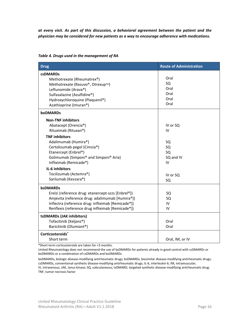*at every visit. As part of this discussion, a behavioral agreement between the patient and the physician may be considered for new patients as a way to encourage adherence with medications.* 

| <b>Drug</b>                                        | <b>Route of Administration</b> |
|----------------------------------------------------|--------------------------------|
| <b>csDMARDs</b>                                    |                                |
| Methotrexate (Rheumatrex®)                         | Oral                           |
| Methotrexate (Rasuvo®, Otrexup™)                   | SQ                             |
| Leflunomide (Arava®)                               | Oral                           |
| Sulfasalazine (Azulfidine®)                        | Oral                           |
| Hydroxychloroquine (Plaquenil®)                    | Oral                           |
| Azathioprine (Imuran®)                             | Oral                           |
| <b>boDMARDs</b>                                    |                                |
| <b>Non-TNF inhibitors</b>                          |                                |
| Abatacept (Orencia®)                               | IV or SQ                       |
| Rituximab (Rituxan®)                               | IV                             |
| <b>TNF inhibitors</b>                              |                                |
| Adalimumab (Humira®)                               | SQ                             |
| Certolizumab pegol (Cimzia®)                       | SQ                             |
| Etanercept (Enbrel®)                               | SQ                             |
| Golimumab (Simponi® and Simponi® Aria)             | SQ and IV                      |
| Infliximab (Remicade®)                             | IV                             |
| IL-6 inhibitors                                    |                                |
| Tocilizumab (Actemra®)                             | IV or SQ                       |
| Sarilumab (Kevzara®)                               | SQ                             |
| <b>bsDMARDs</b>                                    |                                |
| Erelzi (reference drug: etanercept-szzs [Enbrel®]) | SQ                             |
| Amjevita (reference drug: adalimumab [Humira®])    | SQ                             |
| Inflectra (reference drug: infliximab [Remicade®]) | IV                             |
| Renflexis (reference drug infliximab [Remicade®])  | IV                             |
| tsDMARDs (JAK inhibitors)                          |                                |
| Tofacitinib (Xeljanz®)                             | Oral                           |
| Baricitinib (Olumiant®)                            | Oral                           |
| Corticosteroids*                                   |                                |
| Short term                                         | Oral, IM, or IV                |

#### *Table 4. Drugs used in the management of RA*

\*Short‐term corticosteroids are taken for <3 months.

United Rheumatology does not recommend the use of bsDMARDs for patients already in good control with csDMARDs or boDMARDs or a combination of csDMARDs and boDMARDs.

boDMARDs, biologic disease-modifying antirheumatic drugs; bsDMARDs, biosimilar disease-modifying antirheumatic drugs; csDMARDs, conventional synthetic disease‐modifying antirheumatic drugs; IL‐6, interleukin 6; IM, intramuscular; IV, intravenous; JAK, Janus kinase; SQ, subcutaneous; tsDMARD, targeted synthetic disease‐modifying antirheumatic drug; TNF, tumor necrosis factor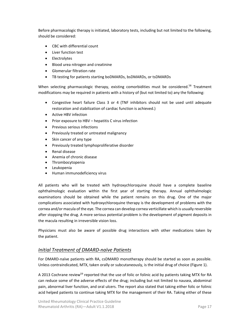Before pharmacologic therapy is initiated, laboratory tests, including but not limited to the following, should be considered:

- CBC with differential count
- Liver function test
- Electrolytes
- Blood urea nitrogen and creatinine
- Glomerular filtration rate
- TB testing for patients starting boDMARDs, bsDMARDs, or tsDMARDs

When selecting pharmacologic therapy, existing comorbidities must be considered.<sup>58</sup> Treatment modifications may be required in patients with a history of (but not limited to) any the following:

- Congestive heart failure Class 3 or 4 (TNF inhibitors should not be used until adequate restoration and stabilization of cardiac function is achieved.)
- Active HBV infection
- Prior exposure to HBV hepatitis C virus infection
- Previous serious infections
- Previously treated or untreated malignancy
- Skin cancer of any type
- Previously treated lymphoproliferative disorder
- Renal disease
- Anemia of chronic disease
- Thrombocytopenia
- Leukopenia
- Human immunodeficiency virus

All patients who will be treated with hydroxychloroquine should have a complete baseline ophthalmologic evaluation within the first year of starting therapy. Annual ophthalmologic examinations should be obtained while the patient remains on this drug. One of the major complications associated with hydroxychloroquine therapy is the development of problems with the cornea and/or macula of the eye. The cornea can develop cornea verticillate which is usually reversible after stopping the drug. A more serious potential problem is the development of pigment deposits in the macula resulting in irreversible vision loss.

Physicians must also be aware of possible drug interactions with other medications taken by the patient.

#### *Initial Treatment of DMARD‐naïve Patients*

For DMARD‐naïve patients with RA, csDMARD monotherapy should be started as soon as possible. Unless contraindicated, MTX, taken orally or subcutaneously, is the initial drug of choice (Figure 1).

A 2013 Cochrane review<sup>59</sup> reported that the use of folic or folinic acid by patients taking MTX for RA can reduce some of the adverse effects of the drug; including but not limited to nausea, abdominal pain, abnormal liver function, and oral ulcers. The report also stated that taking either folic or folinic acid helped patients to continue taking MTX for the management of their RA. Taking either of these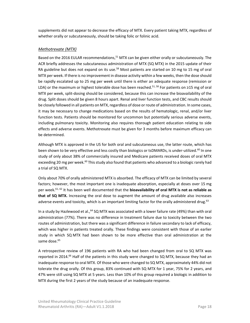supplements did not appear to decrease the efficacy of MTX. Every patient taking MTX, regardless of whether orally or subcutaneously, should be taking folic or folinic acid.

#### *Methotrexate (MTX)*

Based on the 2016 EULAR recommendations,<sup>51</sup> MTX can be given either orally or subcutaneously. The ACR briefly addresses the subcutaneous administration of MTX (SQ MTX) in the 2015 update of their RA guideline but does not expand on its use.<sup>58</sup> Most patients are started on 10 mg to 15 mg of oral MTX per week. If there is no improvement in disease activity within a few weeks, then the dose should be rapidly escalated up to 25 mg per week until there is either an adequate response (remission or LDA) or the maximum or highest tolerable dose has been reached.<sup>51, 58</sup> For patients on ≥15 mg of oral MTX per week, split‐dosing should be considered, because this can increase the bioavailability of the drug. Split doses should be given 8 hours apart. Renal and liver function tests, and CBC results should be closely followed in all patients on MTX, regardless of dose or route of administration. In some cases, it may be necessary to change medications based on the results of hematologic, renal, and/or liver function tests. Patients should be monitored for uncommon but potentially serious adverse events, including pulmonary toxicity. Monitoring also requires thorough patient education relating to side effects and adverse events. Methotrexate must be given for 3 months before maximum efficacy can be determined.

Although MTX is approved in the US for both oral and subcutaneous use, the latter route, which has been shown to be very effective and less costly than biologics or tsDMARDs, is under-utilized.<sup>60</sup> In one study of only about 38% of commercially insured and Medicare patients received doses of oral MTX exceeding 20 mg per week.<sup>60</sup> This study also found that patients who advanced to a biologic rarely had a trial of SQ MTX.

Only about 70% of orally administered MTX is absorbed. The efficacy of MTX can be limited by several factors; however, the most important one is inadequate absorption, especially at doses over 15 mg per week.61, 62 It has been well documented that the **bioavailability of oral MTX is not as reliable as**  that of SQ MTX. Increasing the oral dose to augment the amount of drug available also increases adverse events and toxicity, which is an important limiting factor for the orally administered drug.<sup>63</sup>

In a study by Hazlewood et al.,<sup>64</sup> SQ MTX was associated with a lower failure rate (49%) than with oral administration (77%). There was no difference in treatment failure due to toxicity between the two routes of administration, but there was a significant difference in failure secondary to lack of efficacy, which was higher in patients treated orally. These findings were consistent with those of an earlier study in which SQ MTX had been shown to be more effective than oral administration at the same dose.<sup>65</sup>

A retrospective review of 196 patients with RA who had been changed from oral to SQ MTX was reported in 2014.<sup>66</sup> Half of the patients in this study were changed to SQ MTX, because they had an inadequate response to oral MTX. Of those who were changed to SQ MTX, approximately 44% did not tolerate the drug orally. Of this group, 83% continued with SQ MTX for 1 year, 75% for 2 years, and 47% were still using SQ MTX at 5 years. Less than 10% of this group required a biologic in addition to MTX during the first 2 years of the study because of an inadequate response.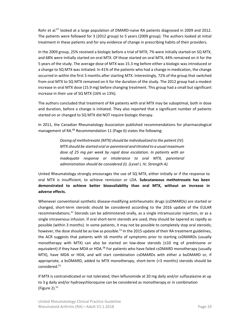Rohr et al.<sup>67</sup> looked at a large population of DMARD-naive RA patients diagnosed in 2009 and 2012. The patients were followed for 3 (2012 group) to 5 years (2009 group). The authors looked at initial treatment in these patients and for any evidence of change in prescribing habits of their providers.

In the 2009 group, 25% received a biologic before a trial of MTX; 7% were initially started on SQ MTX, and 68% were initially started on oral MTX. Of those started on oral MTX, 44% remained on it for the 5 years of the study. The average dose of MTX was 15.3 mg before either a biologic was introduced or a change to SQ MTX was initiated. In 41% of the patients who had a change in medication, the change occurred in within the first 3 months after starting MTX. Interestingly, 72% of the group that switched from oral MTX to SQ MTX remained on it for the duration of the study. The 2012 group had a modest increase in oral MTX dose (15.9 mg) before changing treatment. This group had a small but significant increase in their use of SQ MTX (16% vs 13%).

The authors concluded that treatment of RA patients with oral MTX may be suboptimal, both in dose and duration, before a change is initiated. They also reported that a significant number of patients started on or changed to SQ MTX did NOT require biologic therapy.

In 2011, the Canadian Rheumatology Association published recommendations for pharmacological management of RA.<sup>68</sup> Recommendation 11 (Page 6) states the following:

> *Dosing of methotrexate (MTX) should be individualized to the patient (IV). MTX should be started oral or parenteral and titrated to a usual maximum dose of 25 mg per week by rapid dose escalation. In patients with an inadequate response or intolerance to oral MTX, parenteral administration should be considered (I). (Level I, IV, Strength A).*

United Rheumatology strongly encourages the use of SQ MTX, either initially or if the response to oral MTX is insufficient, to achieve remission or LDA. **Subcutaneous methotrexate has been demonstrated to achieve better bioavailability than oral MTX, without an increase in adverse effects.**

Whenever conventional synthetic disease-modifying antirheumatic drugs (csDMARDs) are started or changed, short-term steroids should be considered according to the 2016 update of the EULAR recommendations.<sup>51</sup> Steroids can be administered orally, as a single intramuscular injection, or as a single intravenous infusion. If oral short-term steroids are used, they should be tapered as rapidly as possible (within 3 months). In some patients, it may not be possible to completely stop oral steroids; however, the dose should be as low as possible.<sup>51</sup> In the 2015 update of their RA treatment guidelines, the ACR suggests that patients with ≤6 months of symptoms prior to starting csDMARDs (usually monotherapy with MTX) can also be started on low-dose steroids  $(\leq 10 \text{ mg of prednisone or }$ equivalent) if they have MDA or HDA.<sup>58</sup> For patients who have failed csDMARD monotherapy (usually MTX), have MDA or HDA, and will start combination csDMARDs with either a boDMARD or, if appropriate, a bsDMARD, added to MTX monotherapy, short-term (<3 months) steroids should be considered.51

If MTX is contraindicated or not tolerated, then leflunomide at 20 mg daily and/or sulfasalazine at up to 3 g daily and/or hydroxychloroquine can be considered as monotherapy or in combination (Figure 2). $51$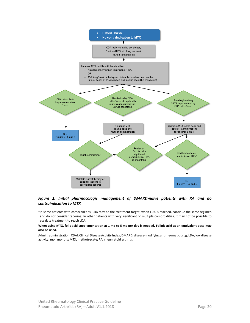

#### *Figure 1. Initial pharmacologic management of DMARD‐naïve patients with RA and no contraindication to MTX*

\*In some patients with comorbidities, LDA may be the treatment target; when LDA is reached, continue the same regimen and do not consider tapering. In other patients with very significant or multiple comorbidities, it may not be possible to escalate treatment to reach LDA.

#### **When using MTX, folic acid supplementation at 1 mg to 5 mg per day is needed. Folinic acid at an equivalent dose may also be used.**

Admin, administration; CDAI, Clinical Disease Activity Index; DMARD, disease‐modifying antirheumatic drug; LDA, low disease activity; mo., months; MTX, methotrexate; RA, rheumatoid arthritis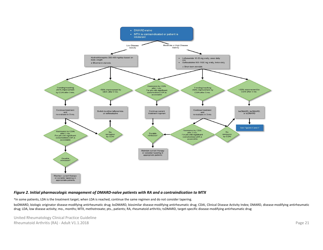

#### *Figure 2. Initial pharmacologic management of DMARD‐naïve patients with RA and a contraindication to MTX*

\*In some patients, LDA is the treatment target; when LDA is reached, continue the same regimen and do not consider tapering.

boDMARD, biologic originator disease-modifying antirheumatic drug; bsDMARD, biosimilar disease-modifying antirheumatic drug; CDAI, Clinical Disease Activity Index; DMARD, disease-modifying antirheumatic drug; LDA, low disease activity; mo., months; MTX, methotrexate; pts., patients; RA, rheumatoid arthritis; tsDMARD, target-specific disease-modifying antirheumatic drug

United Rheumatology Clinical Practice Guideline Rheumatoid Arthritis (RA) ‐ Adult V1.1.2018 Page 21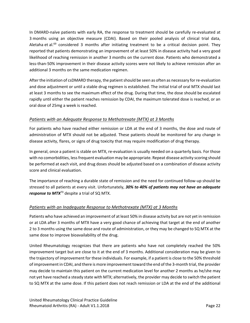In DMARD-naïve patients with early RA, the response to treatment should be carefully re-evaluated at 3 months using an objective measure (CDAI). Based on their pooled analysis of clinical trial data, Aletaha et al.<sup>69</sup> considered 3 months after initiating treatment to be a critical decision point. They reported that patients demonstrating an improvement of at least 50% in disease activity had a very good likelihood of reaching remission in another 3 months on the current dose. Patients who demonstrated a less-than-50% improvement in their disease activity scores were not likely to achieve remission after an additional 3 months on the same medication regimen.

After the initiation of csDMARD therapy, the patient should be seen as often as necessary for re‐evaluation and dose adjustment or until a stable drug regimen is established. The initial trial of oral MTX should last at least 3 months to see the maximum effect of the drug. During that time, the dose should be escalated rapidly until either the patient reaches remission by CDAI, the maximum tolerated dose is reached, or an oral dose of 25mg a week is reached.

#### *Patients with an Adequate Response to Methotrexate (MTX) at 3 Months*

For patients who have reached either remission or LDA at the end of 3 months, the dose and route of administration of MTX should not be adjusted. These patients should be monitored for any change in disease activity, flares, or signs of drug toxicity that may require modification of drug therapy.

In general, once a patient is stable on MTX, re-evaluation is usually needed on a quarterly basis. For those with no comorbidities, less frequent evaluation may be appropriate. Repeat disease activity scoring should be performed at each visit, and drug doses should be adjusted based on a combination of disease activity score and clinical evaluation.

The importance of reaching a durable state of remission and the need for continued follow‐up should be stressed to all patients at every visit. Unfortunately, *30% to 40% of patients may not have an adequate response to MTX*70 despite a trial of SQ MTX.

#### *Patients with an Inadequate Response to Methotrexate (MTX) at 3 Months*

Patients who have achieved an improvement of at least 50% in disease activity but are not yet in remission or at LDA after 3 months of MTX have a very good chance of achieving that target at the end of another 2 to 3 months using the same dose and route of administration, or they may be changed to SQ MTX at the same dose to improve bioavailability of the drug.

United Rheumatology recognizes that there are patients who have not completely reached the 50% improvement target but are close to it at the end of 3 months. Additional consideration may be given to the trajectory of improvement for these individuals. For example, if a patient is close to the 50% threshold of improvement in CDAI, and there is more improvement toward the end of the 3‐month trial, the provider may decide to maintain this patient on the current medication level for another 2 months as he/she may not yet have reached a steady state with MTX; alternatively, the provider may decide to switch the patient to SQ MTX at the same dose. If this patient does not reach remission or LDA at the end of the additional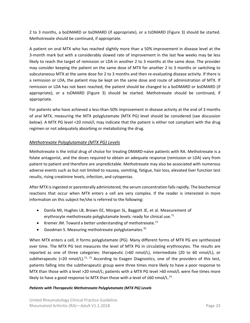2 to 3 months, a boDMARD or bsDMARD (if appropriate), or a tsDMARD (Figure 3) should be started. Methotrexate should be continued, if appropriate.

A patient on oral MTX who has reached slightly more than a 50% improvement in disease level at the 3‐month mark but with a considerably slowed rate of improvement in the last few weeks may be less likely to reach the target of remission or LDA in another 2 to 3 months at the same dose. The provider may consider keeping the patient on the same dose of MTX for another 2 to 3 months or switching to subcutaneous MTX at the same dose for 2 to 3 months and then re-evaluating disease activity. If there is a remission or LDA, the patient may be kept on the same dose and route of administration of MTX. If remission or LDA has not been reached, the patient should be changed to a boDMARD or bsDMARD (if appropriate), or a tsDMARD (Figure 3) should be started. Methotrexate should be continued, if appropriate.

For patients who have achieved a less-than-50% improvement in disease activity at the end of 3 months of oral MTX, measuring the MTX polyglutamate (MTX PG) level should be considered (see discussion below). A MTX PG level <20 nmol/L may indicate that the patient is either not compliant with the drug regimen or not adequately absorbing or metabolizing the drug.

#### *Methotrexate Polyglutamate (MTX PG) Levels*

Methotrexate is the initial drug of choice for treating DMARD‐naïve patients with RA. Methotrexate is a folate antagonist, and the doses required to obtain an adequate response (remission or LDA) vary from patient to patient and therefore are unpredictable. Methotrexate may also be associated with numerous adverse events such as but not limited to nausea, vomiting, fatigue, hair loss, elevated liver function test results, rising creatinine levels, infection, and cytopenias.

After MTX is ingested or parenterally administered, the serum concentration falls rapidly. The biochemical reactions that occur when MTX enters a cell are very complex. If the reader is interested in more information on this subject he/she is referred to the following:

- Danila MI, Hughes LB, Brown EE, Morgan SL, Baggott JE, et al. Measurement of erythrocyte methotrexate polyglutamate levels: ready for clinical use.<sup>71</sup>
- **•** Kremer JM. Toward a better understanding of methotrexate.<sup>72</sup>
- Goodman S. Measuring methotrexate polyglutamates.<sup>70</sup>

When MTX enters a cell, it forms polyglutamate (PG). Many different forms of MTX PG are synthesized over time. The MTX PG test measures the level of MTX PG in circulating erythrocytes. The results are reported as one of three categories: therapeutic (>60 nmol/L), intermediate (20 to 60 nmol/L), or subtherapeutic  $\left($  <20 nmol/L).<sup>71, 73</sup> According to Exagen Diagnostics, one of the providers of this test, patients falling into the subtherapeutic group were three times more likely to have a poor response to MTX than those with a level >20 nmol/L; patients with a MTX PG level >60 nmol/L were five times more likely to have a good response to MTX than those with a level of ≤60 nmol/L.<sup>73</sup>

#### *Patients with Therapeutic Methotrexate Polyglutamate (MTX PG) Levels*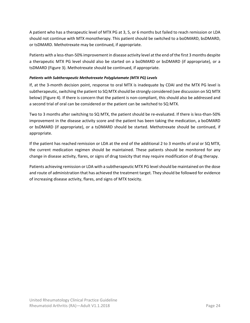A patient who has a therapeutic level of MTX PG at 3, 5, or 6 months but failed to reach remission or LDA should not continue with MTX monotherapy. This patient should be switched to a boDMARD, bsDMARD, or tsDMARD. Methotrexate may be continued, if appropriate.

Patients with a less‐than‐50% improvement in disease activity level at the end of the first 3 months despite a therapeutic MTX PG level should also be started on a boDMARD or bsDMARD (if appropriate), or a tsDMARD (Figure 3). Methotrexate should be continued, if appropriate.

#### *Patients with Subtherapeutic Methotrexate Polyglutamate (MTX PG) Levels*

If, at the 3‐month decision point, response to oral MTX is inadequate by CDAI and the MTX PG level is subtherapeutic, switching the patient to SQ MTX should be strongly considered (see discussion on SQ MTX below) (Figure 4). If there is concern that the patient is non‐compliant, this should also be addressed and a second trial of oral can be considered or the patient can be switched to SQ MTX.

Two to 3 months after switching to SQ MTX, the patient should be re‐evaluated. If there is less‐than‐50% improvement in the disease activity score and the patient has been taking the medication, a boDMARD or bsDMARD (if appropriate), or a tsDMARD should be started. Methotrexate should be continued, if appropriate.

If the patient has reached remission or LDA at the end of the additional 2 to 3 months of oral or SQ MTX, the current medication regimen should be maintained. These patients should be monitored for any change in disease activity, flares, or signs of drug toxicity that may require modification of drug therapy.

Patients achieving remission or LDA with a subtherapeutic MTX PG level should be maintained on the dose and route of administration that has achieved the treatment target. They should be followed for evidence of increasing disease activity, flares, and signs of MTX toxicity.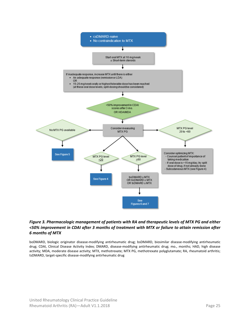

#### *Figure 3. Pharmacologic management of patients with RA and therapeutic levels of MTX PG and either <50% improvement in CDAI after 3 months of treatment with MTX or failure to attain remission after 6 months of MTX*

boDMARD, biologic originator disease‐modifying antirheumatic drug; bsDMARD, biosimilar disease‐modifying antirheumatic drug; CDAI, Clinical Disease Activity Index; DMARD, disease-modifying antirheumatic drug; mo., months; HAD, high disease activity; MDA, moderate disease activity; MTX, methotrexate; MTX PG, methotrexate polyglutamate; RA, rheumatoid arthritis; tsDMARD, target‐specific disease‐modifying antirheumatic drug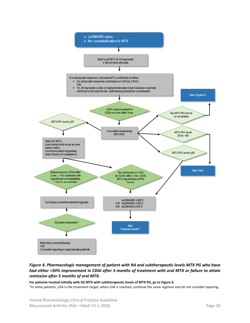

#### *Figure 4. Pharmacologic management of patient with RA and subtherapeutic levels MTX PG who have had either <50% improvement in CDAI after 3 months of treatment with oral MTX or failure to attain remission after 5 months of oral MTX.*

**For patients treated initially with SQ MTX with subtherapeutic levels of MTX PG, go to Figure 6.** 

\*In some patients, LDA is the treatment target; when LDA is reached, continue the same regimen and do not consider tapering.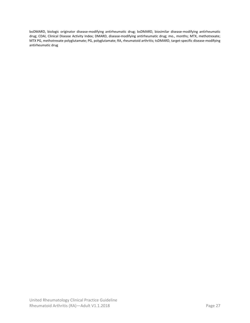boDMARD, biologic originator disease‐modifying antirheumatic drug; bsDMARD, biosimilar disease‐modifying antirheumatic drug; CDAI, Clinical Disease Activity Index; DMARD, disease-modifying antirheumatic drug; mo., months; MTX, methotrexate; MTX PG, methotrexate polyglutamate; PG, polyglutamate; RA, rheumatoid arthritis; tsDMARD, target‐specific disease‐modifying antirheumatic drug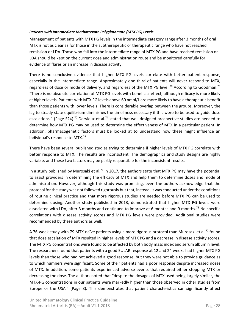#### *Patients with Intermediate Methotrexate Polyglutamate (MTX PG) Levels*

Management of patients with MTX PG levels in the intermediate category range after 3 months of oral MTX is not as clear as for those in the subtherapeutic or therapeutic range who have not reached remission or LDA. Those who fall into the intermediate range of MTX PG and have reached remission or LDA should be kept on the current dose and administration route and be monitored carefully for evidence of flares or an increase in disease activity.

There is no conclusive evidence that higher MTX PG levels correlate with better patient response, especially in the intermediate range. Approximately one third of patients will never respond to MTX, regardless of dose or mode of delivery, and regardless of the MTX PG level.<sup>70</sup> According to Goodman,<sup>70</sup> "There is no absolute correlation of MTX PG levels with beneficial effect, although efficacy is more likely at higher levels. Patients with MTX PG levels above 60 nmol/L are more likely to have a therapeutic benefit than those patients with lower levels. There is considerable overlap between the groups. Moreover, the lag to steady state equilibrium diminishes the timeliness necessary if this were to be used to guide dose escalations." (Page S24).<sup>70</sup> Dervieux et al.<sup>74</sup> stated that well designed prospective studies are needed to determine how MTX PG may be used to determine the effectiveness of MTX in a particular patient. In addition, pharmacogenetic factors must be looked at to understand how these might influence an individual's response to MTX.74

There have been several published studies trying to determine if higher levels of MTX PG correlate with better response to MTX. The results are inconsistent. The demographics and study designs are highly variable, and these two factors may be partly responsible for the inconsistent results.

In a study published by Murosaki et al.<sup>75</sup> in 2017, the authors state that MTX PG may have the potential to assist providers in determining the efficacy of MTX and help them to determine doses and mode of administration. However, although this study was promising, even the authors acknowledge that the protocol for the study was not followed rigorously but that, instead, it was conducted under the conditions of routine clinical practice and that more rigorous studies are needed before MTX PG can be used to determine dosing. Another study published in 2013, demonstrated that higher MTX PG levels were associated with LDA, after 3 months and continued to improve at 6 months and 9 months.<sup>76</sup> No specific correlations with disease activity scores and MTX PG levels were provided. Additional studies were recommended by these authors as well.

A 76-week study with 79 MTX-naïve patients using a more rigorous protocol than Murosaki et al.<sup>77</sup> found that dose escalation of MTX resulted in higher levels of MTX PG and a decrease in disease activity scores. The MTX PG concentrations were found to be affected by both body mass index and serum albumin level. The researchers found that patients with a good EULAR response at 12 and 24 weeks had higher MTX PG levels than those who had not achieved a good response, but they were not able to provide guidance as to which numbers were significant. Some of their patients had a poor response despite increased doses of MTX. In addition, some patients experienced adverse events that required either stopping MTX or decreasing the dose. The authors noted that "despite the dosages of MTX used being largely similar, the MTX‐PG concentrations in our patients were markedly higher than those observed in other studies from Europe or the USA." (Page 8). This demonstrates that patient characteristics can significantly affect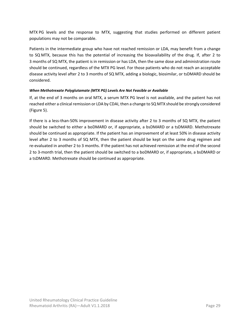MTX PG levels and the response to MTX, suggesting that studies performed on different patient populations may not be comparable.

Patients in the intermediate group who have not reached remission or LDA, may benefit from a change to SQ MTX, because this has the potential of increasing the bioavailability of the drug. If, after 2 to 3 months of SQ MTX, the patient is in remission or has LDA, then the same dose and administration route should be continued, regardless of the MTX PG level. For those patients who do not reach an acceptable disease activity level after 2 to 3 months of SQ MTX, adding a biologic, biosimilar, or tsDMARD should be considered.

#### *When Methotrexate Polyglutamate (MTX PG) Levels Are Not Feasible or Available*

If, at the end of 3 months on oral MTX, a serum MTX PG level is not available, and the patient has not reached either a clinical remission or LDA by CDAI, then a change to SQ MTX should be strongly considered (Figure 5).

If there is a less-than-50% improvement in disease activity after 2 to 3 months of SQ MTX, the patient should be switched to either a boDMARD or, if appropriate, a bsDMARD or a tsDMARD. Methotrexate should be continued as appropriate. If the patient has an improvement of at least 50% in disease activity level after 2 to 3 months of SQ MTX, then the patient should be kept on the same drug regimen and re-evaluated in another 2 to 3 months. If the patient has not achieved remission at the end of the second 2 to 3‐month trial, then the patient should be switched to a boDMARD or, if appropriate, a bsDMARD or a tsDMARD. Methotrexate should be continued as appropriate.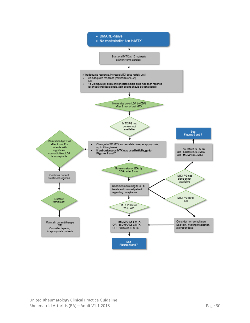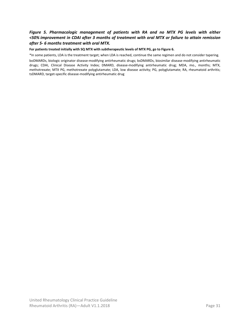#### *Figure 5. Pharmacologic management of patients with RA and no MTX PG levels with either <50% improvement in CDAI after 3 months of treatment with oral MTX or failure to attain remission after 5‐ 6 months treatment with oral MTX.*

**For patients treated initially with SQ MTX with subtherapeutic levels of MTX PG, go to Figure 6.** 

\*In some patients, LDA is the treatment target; when LDA is reached, continue the same regimen and do not consider tapering. boDMARDs, biologic originator disease‐modifying antirheumatic drugs; bsDMARDs, biosimilar disease‐modifying antirheumatic drugs; CDAI, Clinical Disease Activity Index; DMARD, disease‐modifying antirheumatic drug; MDA, mo., months; MTX, methotrexate; MTX PG, methotrexate polyglutamate; LDA, low disease activity; PG, polyglutamate; RA, rheumatoid arthritis; tsDMARD, target‐specific disease‐modifying antirheumatic drug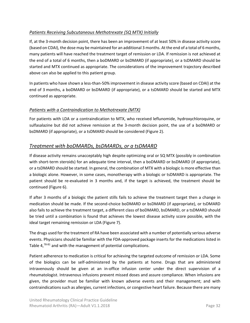#### *Patients Receiving Subcutaneous Methotrexate (SQ MTX) Initially*

If, at the 3‐month decision point, there has been an improvement of at least 50% in disease activity score (based on CDAI), the dose may be maintained for an additional 3 months. At the end of a total of 6 months, many patients will have reached the treatment target of remission or LDA. If remission is not achieved at the end of a total of 6 months, then a boDMARD or bsDMARD (if appropriate), or a tsDMARD should be started and MTX continued as appropriate. The considerations of the improvement trajectory described above can also be applied to this patient group.

In patients who have shown a less-than-50% improvement in disease activity score (based on CDAI) at the end of 3 months, a boDMARD or bsDMARD (if appropriate), or a tsDMARD should be started and MTX continued as appropriate.

#### *Patients with a Contraindication to Methotrexate (MTX)*

For patients with LDA or a contraindication to MTX, who received leflunomide, hydroxychloroquine, or sulfasalazine but did not achieve remission at the 3-month decision point, the use of a boDMARD or bsDMARD (if appropriate), or a tsDMARD should be considered (Figure 2).

### *Treatment with boDMARDs, bsDMARDs, or a tsDMARD*

If disease activity remains unacceptably high despite optimizing oral or SQ MTX (possibly in combination with short-term steroids) for an adequate time interval, then a boDMARD or bsDMARD (if appropriate), or a tsDMARD should be started. In general, the combination of MTX with a biologic is more effective than a biologic alone. However, in some cases, monotherapy with a biologic or tsDMARD is appropriate. The patient should be re-evaluated in 3 months and, if the target is achieved, the treatment should be continued (Figure 6).

If after 3 months of a biologic the patient stills fails to achieve the treatment target then a change in medication should be made. If the second‐choice boDMARD or bsDMARD (if appropriate), or tsDMARD also fails to achieve the treatment target, a different class of boDMARD, bsDMARD, or a tsDMARD should be tried until a combination is found that achieves the lowest disease activity score possible, with the ideal target remaining remission or LDA (Figure 7).

The drugs used for the treatment of RA have been associated with a number of potentially serious adverse events. Physicians should be familiar with the FDA‐approved package inserts for the medications listed in Table  $4,78-81$  and with the management of potential complications.

Patient adherence to medication is critical for achieving the targeted outcome of remission or LDA. Some of the biologics can be self‐administered by the patients at home. Drugs that are administered intravenously should be given at an in-office infusion center under the direct supervision of a rheumatologist. Intravenous infusions prevent missed doses and assure compliance. When infusions are given, the provider must be familiar with known adverse events and their management; and with contraindications such as allergies, current infections, or congestive heart failure. Because there are many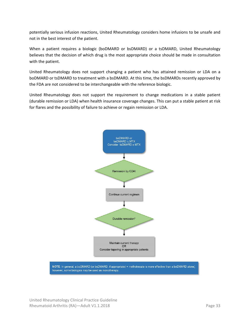potentially serious infusion reactions, United Rheumatology considers home infusions to be unsafe and not in the best interest of the patient.

When a patient requires a biologic (boDMARD or bsDMARD) or a tsDMARD, United Rheumatology believes that the decision of which drug is the most appropriate choice should be made in consultation with the patient.

United Rheumatology does not support changing a patient who has attained remission or LDA on a boDMARD or tsDMARD to treatment with a bsDMARD. At this time, the bsDMARDs recently approved by the FDA are not considered to be interchangeable with the reference biologic.

United Rheumatology does not support the requirement to change medications in a stable patient (durable remission or LDA) when health insurance coverage changes. This can put a stable patient at risk for flares and the possibility of failure to achieve or regain remission or LDA.

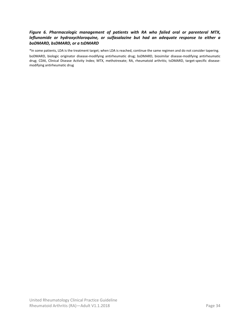#### *Figure 6. Pharmacologic management of patients with RA who failed oral or parenteral MTX, leflunomide or hydroxychloroquine, or sulfasalazine but had an adequate response to either a boDMARD, bsDMARD, or a tsDMARD*

\*In some patients, LDA is the treatment target; when LDA is reached, continue the same regimen and do not consider tapering.

boDMARD, biologic originator disease‐modifying antirheumatic drug; bsDMARD, biosimilar disease‐modifying antirheumatic drug; CDAI, Clinical Disease Activity Index; MTX, methotrexate; RA, rheumatoid arthritis; tsDMARD, target-specific diseasemodifying antirheumatic drug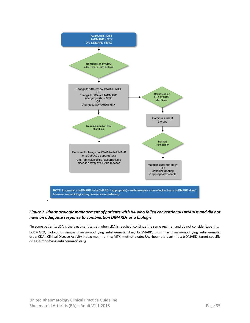

#### *Figure 7. Pharmacologic management of patients with RA who failed conventional DMARDs and did not have an adequate response to combination DMARDs or a biologic*

\*In some patients, LDA is the treatment target; when LDA is reached, continue the same regimen and do not consider tapering. boDMARD, biologic originator disease-modifying antirheumatic drug; bsDMARD, biosimilar disease-modifying antirheumatic drug; CDAI, Clinical Disease Activity Index; mo., months; MTX, methotrexate; RA, rheumatoid arthritis; tsDMARD, target‐specific disease‐modifying antirheumatic drug

 $\overline{\phantom{a}}$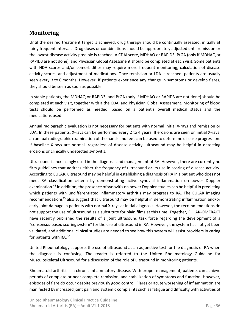# **Monitoring**

Until the desired treatment target is achieved, drug therapy should be continually assessed, initially at fairly frequent intervals. Drug doses or combinations should be appropriately adjusted until remission or the lowest disease activity possible is reached. A CDAI score, MDHAQ or RAPID3, PtGA (only if MDHAQ or RAPID3 are not done), and Physician Global Assessment should be completed at each visit. Some patients with HDA scores and/or comorbidities may require more frequent monitoring, calculation of disease activity scores, and adjustment of medications. Once remission or LDA is reached, patients are usually seen every 3 to 6 months. However, if patients experience any change in symptoms or develop flares, they should be seen as soon as possible.

In stable patients, the MDHAQ or RAPID3, and PtGA (only if MDHAQ or RAPID3 are not done) should be completed at each visit, together with a the CDAI and Physician Global Assessment. Monitoring of blood tests should be performed as needed, based on a patient's overall medical status and the medications used.

Annual radiographic evaluation is not necessary for patients with normal initial X‐rays and remission or LDA. In these patients, X‐rays can be performed every 2 to 4 years. If erosions are seen on initial X‐rays, an annual radiographic examination of the hands and feet can be used to determine disease progression. If baseline X‐rays are normal, regardless of disease activity, ultrasound may be helpful in detecting erosions or clinically undetected synovitis.

Ultrasound is increasingly used in the diagnosis and management of RA. However, there are currently no firm guidelines that address either the frequency of ultrasound or its use in scoring of disease activity. According to EULAR, ultrasound may be helpful in establishing a diagnosis of RA in a patient who does not meet RA classification criteria by demonstrating active synovial inflammation on power Doppler examination.<sup>45</sup> In addition, the presence of synovitis on power Doppler studies can be helpful in predicting which patients with undifferentiated inflammatory arthritis may progress to RA. The EULAR imaging recommendations<sup>45</sup> also suggest that ultrasound may be helpful in demonstrating inflammation and/or early joint damage in patients with normal X-rays at initial diagnosis. However, the recommendations do not support the use of ultrasound as a substitute for plain films at this time. Together, EULAR‐OMERACT have recently published the results of a joint ultrasound task force regarding the development of a "consensus‐based scoring system" for the use of ultrasound in RA. However, the system has not yet been validated, and additional clinical studies are needed to see how this system will assist providers in caring for patients with RA.82

United Rheumatology supports the use of ultrasound as an adjunctive test for the diagnosis of RA when the diagnosis is confusing. The reader is referred to the United Rheumatology Guideline for Musculoskeletal Ultrasound for a discussion of the role of ultrasound in monitoring patients.

Rheumatoid arthritis is a chronic inflammatory disease. With proper management, patients can achieve periods of complete or near‐complete remission, and stabilization of symptoms and function. However, episodes of flare do occur despite previously good control. Flares or acute worsening of inflammation are manifested by increased joint pain and systemic complaints such as fatigue and difficulty with activities of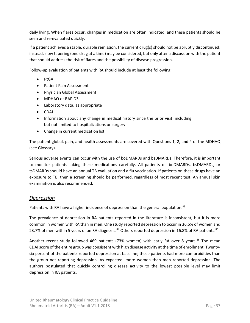daily living. When flares occur, changes in medication are often indicated, and these patients should be seen and re‐evaluated quickly.

If a patient achieves a stable, durable remission, the current drug(s) should not be abruptly discontinued; instead, slow tapering (one drug at a time) may be considered, but only after a discussion with the patient that should address the risk of flares and the possibility of disease progression.

Follow‐up evaluation of patients with RA should include at least the following:

- $\bullet$  PtGA
- Patient Pain Assessment
- Physician Global Assessment
- MDHAQ or RAPID3
- Laboratory data, as appropriate
- CDAI
- Information about any change in medical history since the prior visit, including but not limited to hospitalizations or surgery
- Change in current medication list

The patient global, pain, and health assessments are covered with Questions 1, 2, and 4 of the MDHAQ (see Glossary).

Serious adverse events can occur with the use of boDMARDs and bsDMARDs. Therefore, it is important to monitor patients taking these medications carefully. All patients on boDMARDs, bsDMARDs, or tsDMARDs should have an annual TB evaluation and a flu vaccination. If patients on these drugs have an exposure to TB, then a screening should be performed, regardless of most recent test. An annual skin examination is also recommended.

#### *Depression*

Patients with RA have a higher incidence of depression than the general population.<sup>83</sup>

The prevalence of depression in RA patients reported in the literature is inconsistent, but it is more common in women with RA than in men. One study reported depression to occur in 36.5% of women and 23.7% of men within 5 years of an RA diagnosis.<sup>84</sup> Others reported depression in 16.8% of RA patients.<sup>85</sup>

Another recent study followed 469 patients (73% women) with early RA over 8 vears.<sup>86</sup> The mean CDAI score of the entire group was consistent with high disease activity at the time of enrollment. Twenty‐ six percent of the patients reported depression at baseline; these patients had more comorbidities than the group not reporting depression. As expected, more women than men reported depression. The authors postulated that quickly controlling disease activity to the lowest possible level may limit depression in RA patients.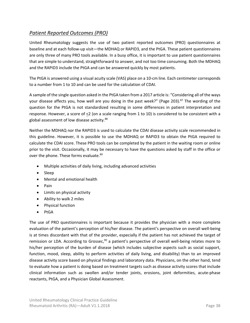## *Patient Reported Outcomes (PRO)*

United Rheumatology suggests the use of two patient reported outcomes (PRO) questionnaires at baseline and at each follow‐up visit—the MDHAQ or RAPID3, and the PtGA. These patient questionnaires are only three of many PRO tools available. In a busy office, it is important to use patient questionnaires that are simple to understand, straightforward to answer, and not too time consuming. Both the MDHAQ and the RAPID3 include the PtGA and can be answered quickly by most patients.

The PtGA is answered using a visual acuity scale (VAS) place on a 10‐cm line. Each centimeter corresponds to a number from 1 to 10 and can be used for the calculation of CDAI.

A sample of the single question asked in the PtGA taken from a 2017 article is: "Considering all of the ways your disease affects you, how well are you doing in the past week?" (Page 203).<sup>87</sup> The wording of the question for the PtGA is not standardized resulting in some differences in patient interpretation and response. However, a score of  $\leq 2$  (on a scale ranging from 1 to 10) is considered to be consistent with a global assessment of low disease activity.<sup>88</sup>

Neither the MDHAQ nor the RAPID3 is used to calculate the CDAI disease activity scale recommended in this guideline. However, it is possible to use the MDHAQ or RAPID3 to obtain the PtGA required to calculate the CDAI score. These PRO tools can be completed by the patient in the waiting room or online prior to the visit. Occasionally, it may be necessary to have the questions asked by staff in the office or over the phone. These forms evaluate.<sup>89</sup>

- Multiple activities of daily living, including advanced activities
- Sleep
- Mental and emotional health
- $\bullet$  Pain
- Limits on physical activity
- Ability to walk 2 miles
- Physical function
- PtGA

The use of PRO questionnaires is important because it provides the physician with a more complete evaluation of the patient's perception of his/her disease. The patient's perspective on overall well‐being is at times discordant with that of the provider, especially if the patient has not achieved the target of remission or LDA. According to Grossec,<sup>90</sup> a patient's perspective of overall well-being relates more to his/her perception of the burden of disease (which includes subjective aspects such as social support, function, mood, sleep, ability to perform activities of daily living, and disability) than to an improved disease activity score based on physical findings and laboratory data. Physicians, on the other hand, tend to evaluate how a patient is doing based on treatment targets such as disease activity scores that include clinical information such as swollen and/or tender joints, erosions, joint deformities, acute-phase reactants, PtGA, and a Physician Global Assessment.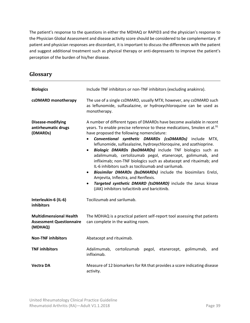The patient's response to the questions in either the MDHAQ or RAPID3 and the physician's response to the Physician Global Assessment and disease activity score should be considered to be complementary. If patient and physician responses are discordant, it is important to discuss the differences with the patient and suggest additional treatment such as physical therapy or anti-depressants to improve the patient's perception of the burden of his/her disease.

# **Glossary**

| <b>Biologics</b>                                                             | Include TNF inhibitors or non-TNF inhibitors (excluding anakinra).                                                                                                                                                                                                                                                                                                                                                                                                                                                                                                                                                                                                                                                                                                                                                                                                               |  |  |  |  |  |  |  |
|------------------------------------------------------------------------------|----------------------------------------------------------------------------------------------------------------------------------------------------------------------------------------------------------------------------------------------------------------------------------------------------------------------------------------------------------------------------------------------------------------------------------------------------------------------------------------------------------------------------------------------------------------------------------------------------------------------------------------------------------------------------------------------------------------------------------------------------------------------------------------------------------------------------------------------------------------------------------|--|--|--|--|--|--|--|
| csDMARD monotherapy                                                          | The use of a single csDMARD, usually MTX; however, any csDMARD such<br>as leflunomide, sulfasalazine, or hydroxychloroquine can be used as<br>monotherapy.                                                                                                                                                                                                                                                                                                                                                                                                                                                                                                                                                                                                                                                                                                                       |  |  |  |  |  |  |  |
| Disease-modifying<br>antirheumatic drugs<br>(DMARDs)                         | A number of different types of DMARDs have become available in recent<br>years. To enable precise reference to these medications, Smolen et al. <sup>91</sup><br>have proposed the following nomenclature:<br>Conventional synthetic DMARDs (csDMARDs) include MTX,<br>$\bullet$<br>leflunomide, sulfasalazine, hydroxychloroquine, and azathioprine.<br><b>Biologic DMARDs (boDMARDs)</b> include TNF biologics such as<br>$\bullet$<br>adalimumab, certolizumab pegol, etanercept, golimumab, and<br>infliximab; non-TNF biologics such as abatacept and rituximab; and<br>IL-6 inhibitors such as tocilizumab and sarilumab.<br>Biosimilar DMARDs (bsDMARDs) include the biosimilars Erelzi,<br>$\bullet$<br>Amjevita, Inflectra, and Renflexis.<br>Targeted synthetic DMARD (tsDMARD) include the Janus kinase<br>$\bullet$<br>(JAK) inhibitors tofacitinib and baricitinib. |  |  |  |  |  |  |  |
| Interleukin-6 (IL-6)<br>inhibitors                                           | Tocilizumab and sarilumab.                                                                                                                                                                                                                                                                                                                                                                                                                                                                                                                                                                                                                                                                                                                                                                                                                                                       |  |  |  |  |  |  |  |
| <b>Multidimensional Health</b><br><b>Assessment Questionnaire</b><br>(MDHAQ) | The MDHAQ is a practical patient self-report tool assessing that patients<br>can complete in the waiting room.                                                                                                                                                                                                                                                                                                                                                                                                                                                                                                                                                                                                                                                                                                                                                                   |  |  |  |  |  |  |  |
| <b>Non-TNF inhibitors</b>                                                    | Abatacept and rituximab.                                                                                                                                                                                                                                                                                                                                                                                                                                                                                                                                                                                                                                                                                                                                                                                                                                                         |  |  |  |  |  |  |  |
| <b>TNF inhibitors</b>                                                        | Adalimumab,<br>certolizumab pegol,<br>etanercept, golimumab,<br>and<br>infliximab.                                                                                                                                                                                                                                                                                                                                                                                                                                                                                                                                                                                                                                                                                                                                                                                               |  |  |  |  |  |  |  |
| <b>Vectra DA</b>                                                             | Measure of 12 biomarkers for RA that provides a score indicating disease<br>activity.                                                                                                                                                                                                                                                                                                                                                                                                                                                                                                                                                                                                                                                                                                                                                                                            |  |  |  |  |  |  |  |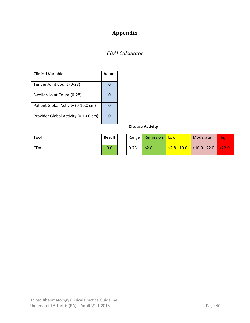# **Appendix**

# *CDAI Calculator*

| <b>Clinical Variable</b>             | Value    |
|--------------------------------------|----------|
| Tender Joint Count (0-28)            | $\Omega$ |
| Swollen Joint Count (0-28)           | 0        |
| Patient Global Activity (0-10.0 cm)  | 0        |
| Provider Global Activity (0-10.0 cm) | $\Omega$ |

| Tool        | Result |
|-------------|--------|
| <b>CDAI</b> | 0.0    |

### **Disease Activity**

| Tool | <b>Result</b> |          | Range <b>Remission</b> | Low | Moderate                             | High |
|------|---------------|----------|------------------------|-----|--------------------------------------|------|
| CDAI | 0.0           | $0 - 76$ | $\leq$ 2.8             |     | $>2.8 - 10.0$   >10.0 - 22.0   >22.0 |      |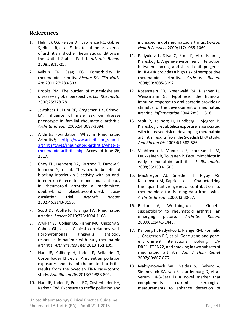### **References**

- 1. Helmick CG, Felson DT, Lawrence RC, Gabriel S, Hirsch R, et al. Estimates of the prevalence of arthritis and other rheumatic conditions in the United States. Part I. *Arthritis Rheum*  2008;58:15‐25.
- 2. Mikuls TR, Saag KG. Comorbidity in rheumatoid arthritis. *Rheum Dis Clin North Am* 2001;27:283‐303.
- 3. Brooks PM. The burden of musculoskeletal disease‐‐a global perspective. *Clin Rheumatol*  2006;25:778‐781.
- 4. Jawaheer D, Lum RF, Gregersen PK, Criswell LA. Influence of male sex on disease phenotype in familial rheumatoid arthritis. *Arthritis Rheum* 2006;54:3087‐3094.
- 5. Arthritis Foundation. What is Rheumatoid Arthritis?; http://www.arthritis.org/about‐ arthritis/types/rheumatoid‐arthritis/what‐is‐ rheumatoid‐arthritis.php. Accessed June 26, 2017.
- 6. Choy EH, Isenberg DA, Garrood T, Farrow S, Ioannou Y, et al. Therapeutic benefit of blocking interleukin‐6 activity with an anti‐ interleukin‐6 receptor monoclonal antibody in rheumatoid arthritis: a randomized, double‐blind, placebo‐controlled, dose‐ escalation trial. *Arthritis Rheum*  2002;46:3143‐3150.
- 7. Scott DL, Wolfe F, Huizinga TW. Rheumatoid arthritis. *Lancet* 2010;376:1094‐1108.
- 8. Arvikar SL, Collier DS, Fisher MC, Unizony S, Cohen GL, et al. Clinical correlations with Porphyromonas gingivalis antibody responses in patients with early rheumatoid arthritis. *Arthritis Res Ther* 2013;15:R109.
- 9. Hart JE, Kallberg H, Laden F, Bellander T, Costenbader KH, et al. Ambient air pollution exposures and risk of rheumatoid arthritis: results from the Swedish EIRA case‐control study. *Ann Rheum Dis* 2013;72:888‐894.
- 10. Hart JE, Laden F, Puett RC, Costenbader KH, Karlson EW. Exposure to traffic pollution and

increased risk of rheumatoid arthritis. *Environ Health Perspect* 2009;117:1065‐1069.

- 11. Padyukov L, Silva C, Stolt P, Alfredsson L, Klareskog L. A gene‐environment interaction between smoking and shared epitope genes in HLA‐DR provides a high risk of seropositive rheumatoid arthritis. *Arthritis Rheum*  2004;50:3085‐3092.
- 12. Rosenstein ED, Greenwald RA, Kushner LJ, Weissmann G. Hypothesis: the humoral immune response to oral bacteria provides a stimulus for the development of rheumatoid arthritis. *Inflammation* 2004;28:311‐318.
- 13. Stolt P, Kallberg H, Lundberg I, Sjogren B, Klareskog L, et al. Silica exposure is associated with increased risk of developing rheumatoid arthritis: results from the Swedish EIRA study. *Ann Rheum Dis* 2005;64:582‐586.
- 14. Vaahtovuo J, Munukka E, Korkeamaki M, Luukkainen R, Toivanen P. Fecal microbiota in early rheumatoid arthritis. *J Rheumatol*  2008;35:1500‐1505.
- 15. MacGregor AJ, Snieder H, Rigby AS, Koskenvuo M, Kaprio J, et al. Characterizing the quantitative genetic contribution to rheumatoid arthritis using data from twins. *Arthritis Rheum* 2000;43:30‐37.
- 16. Barton A, Worthington J. Genetic susceptibility to rheumatoid arthritis: an emerging picture. *Arthritis Rheum*  2009;61:1441‐1446.
- 17. Kallberg H, Padyukov L, Plenge RM, Ronnelid J, Gregersen PK, et al. Gene‐gene and gene‐ environment interactions involving HLA‐ DRB1, PTPN22, and smoking in two subsets of rheumatoid arthritis. *Am J Hum Genet*  2007;80:867‐875.
- 18. Maksymowych WP, Naides SJ, Bykerk V, Siminovitch KA, van Schaardenburg D, et al. Serum 14-3-3eta is a novel marker that complements current serological measurements to enhance detection of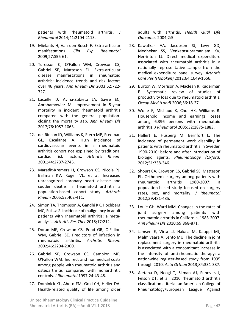patients with rheumatoid arthritis. *J Rheumatol* 2014;41:2104‐2113.

- 19. Mielants H, Van den Bosch F. Extra-articular manifestations. *Clin Exp Rheumatol*  2009;27:S56‐61.
- 20. Turesson C, O'Fallon WM, Crowson CS, Gabriel SE, Matteson EL. Extra‐articular disease manifestations in rheumatoid arthritis: incidence trends and risk factors over 46 years. *Ann Rheum Dis* 2003;62:722‐ 727.
- 21. Lacaille D, Avina‐Zubieta JA, Sayre EC, Abrahamowicz M. Improvement in 5‐year mortality in incident rheumatoid arthritis compared with the general population‐ closing the mortality gap. *Ann Rheum Dis*  2017;76:1057‐1063.
- 22. del Rincon ID, Williams K, Stern MP, Freeman GL, Escalante A. High incidence of cardiovascular events in a rheumatoid arthritis cohort not explained by traditional cardiac risk factors. *Arthritis Rheum*  2001;44:2737‐2745.
- 23. Maradit‐Kremers H, Crowson CS, Nicola PJ, Ballman KV, Roger VL, et al. Increased unrecognized coronary heart disease and sudden deaths in rheumatoid arthritis: a population‐based cohort study. *Arthritis Rheum* 2005;52:402‐411.
- 24. Simon TA, Thompson A, Gandhi KK, Hochberg MC, Suissa S. Incidence of malignancy in adult patients with rheumatoid arthritis: a meta‐ analysis. *Arthritis Res Ther* 2015;17:212.
- 25. Doran MF, Crowson CS, Pond GR, O'Fallon WM, Gabriel SE. Predictors of infection in rheumatoid arthritis. *Arthritis Rheum*  2002;46:2294‐2300.
- 26. Gabriel SE, Crowson CS, Campion ME, O'Fallon WM. Indirect and nonmedical costs among people with rheumatoid arthritis and osteoarthritis compared with nonarthritic controls. *J Rheumatol* 1997;24:43‐48.
- 27. Dominick KL, Ahern FM, Gold CH, Heller DA. Health-related quality of life among older

United Rheumatology Clinical Practice Guideline Rheumatoid Arthritis (RA)—Adult V1.1.2018 Page 42

adults with arthritis. *Health Qual Life Outcomes* 2004;2:5.

- 28. Kawatkar AA, Jacobsen SJ, Levy GD, Medhekar SS, Venkatasubramaniam KV, Herrinton LJ. Direct medical expenditure associated with rheumatoid arthritis in a nationally representative sample from the medical expenditure panel survey. *Arthritis Care Res (Hoboken)* 2012;64:1649‐1656.
- 29. Burton W, Morrison A, Maclean R, Ruderman E. Systematic review of studies of productivity loss due to rheumatoid arthritis. *Occup Med (Lond)* 2006;56:18‐27.
- 30. Wolfe F, Michaud K, Choi HK, Williams R. Household income and earnings losses among 6,396 persons with rheumatoid arthritis. *J Rheumatol* 2005;32:1875‐1883.
- 31. Hallert E, Husberg M, Bernfort L. The incidence of permanent work disability in patients with rheumatoid arthritis in Sweden 1990‐2010: before and after introduction of biologic agents. *Rheumatology (Oxford)*  2012;51:338‐346.
- 32. Shourt CA, Crowson CS, Gabriel SE, Matteson EL. Orthopedic surgery among patients with rheumatoid arthritis 1980‐2007: a population‐based study focused on surgery rates, sex, and mortality. *J Rheumatol*  2012;39:481‐485.
- 33. Louie GH, Ward MM. Changes in the rates of joint surgery among patients with rheumatoid arthritis in California, 1983‐2007. *Ann Rheum Dis* 2010;69:868‐871.
- 34. Jamsen E, Virta LJ, Hakala M, Kauppi MJ, Malmivaara A, Lehto MU. The decline in joint replacement surgery in rheumatoid arthritis is associated with a concomitant increase in the intensity of anti-rheumatic therapy: a nationwide register‐based study from 1995 through 2010. *Acta Orthop* 2013;84:331‐337.
- 35. Aletaha D, Neogi T, Silman AJ, Funovits J, Felson DT, et al. 2010 rheumatoid arthritis classification criteria: an American College of Rheumatology/European League Against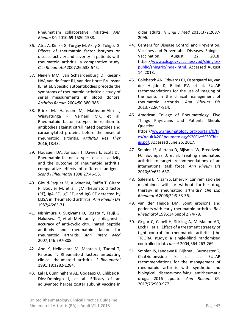Rheumatism collaborative initiative. *Ann Rheum Dis* 2010;69:1580‐1588.

- 36. Ates A, Kinikli G, Turgay M, Akay G, Tokgoz G. Effects of rheumatoid factor isotypes on disease activity and severity in patients with rheumatoid arthritis: a comparative study. *Clin Rheumatol* 2007;26:538‐545.
- 37. Nielen MM, van Schaardenburg D, Reesink HW, van de Stadt RJ, van der Horst‐Bruinsma IE, et al. Specific autoantibodies precede the symptoms of rheumatoid arthritis: a study of serial measurements in blood donors. *Arthritis Rheum* 2004;50:380‐386.
- 38. Brink M, Hansson M, Mathsson‐Alm L, Wijayatunga P, Verheul MK, et al. Rheumatoid factor isotypes in relation to antibodies against citrullinated peptides and carbamylated proteins before the onset of rheumatoid arthritis. *Arthritis Res Ther*  2016;18:43.
- 39. Houssien DA, Jonsson T, Davies E, Scott DL. Rheumatoid factor isotypes, disease activity and the outcome of rheumatoid arthritis: comparative effects of different antigens. *Scand J Rheumatol* 1998;27:46‐53.
- 40. Gioud‐Paquet M, Auvinet M, Raffin T, Girard P, Bouvier M, et al. IgM rheumatoid factor (RF), IgA RF, IgE RF, and IgG RF detected by ELISA in rheumatoid arthritis. *Ann Rheum Dis*  1987;46:65‐71.
- 41. Nishimura K, Sugiyama D, Kogata Y, Tsuji G, Nakazawa T, et al. Meta‐analysis: diagnostic accuracy of anti‐cyclic citrullinated peptide antibody and rheumatoid factor for rheumatoid arthritis. *Ann Intern Med*  2007;146:797‐808.
- 42. Aho K, Heliovaara M, Maatela J, Tuomi T, Palosuo T. Rheumatoid factors antedating clinical rheumatoid arthritis. *J Rheumatol*  1991;18:1282‐1284.
- 43. Lal H, Cunningham AL, Godeaux O, Chlibek R, Diez-Domingo J, et al. Efficacy of an adjuvanted herpes zoster subunit vaccine in

older adults. *N Engl J Med*  2015;372:2087‐ 2096.

- 44. Centers for Disease Control and Prevention. Vaccines and Preventable Diseases. Shingles Vaccination. August 22, 2018. https://www.cdc.gov/vaccines/vpd/shingles/ public/shingrix/index.html. Accessed August 14, 2018.
- 45. Colebatch AN, Edwards CJ, Ostergaard M, van der Heijde D, Balint PV, et al. EULAR recommendations for the use of imaging of the joints in the clinical management of rheumatoid arthritis. *Ann Rheum Dis*  2013;72:804‐814.
- 46. American College of Rheumatology. Five Things Physicians and Patients Should Question; https://www.rheumatology.org/portals/0/fil es/Adult%20Rheumatology%20Five%20Thin gs.pdf. Accessed June 26, 2017.
- 47. Smolen JS, Aletaha D, Bijlsma JW, Breedveld FC, Boumpas D, et al. Treating rheumatoid arthritis to target: recommendations of an international task force. *Ann Rheum Dis*  2010;69:631‐637.
- 48. Saleem B, Nizam S, Emery P. Can remission be maintained with or without further drug therapy in rheumatoid arthritis? *Clin Exp Rheumatol* 2006;24:S‐33‐36.
- 49. van der Heijde DM. Joint erosions and patients with early rheumatoid arthritis. *Br J Rheumatol* 1995;34 Suppl 2:74‐78.
- 50. Grigor C, Capell H, Stirling A, McMahon AD, Lock P, et al. Effect of a treatment strategy of tight control for rheumatoid arthritis (the TICORA study): a single‐blind randomised controlled trial. *Lancet* 2004;364:263‐269.
- 51. Smolen JS, Landewe R, Bijlsma J, Burmester G, Chatzidionysiou K, et al. EULAR recommendations for the management of rheumatoid arthritis with synthetic and biological disease‐modifying antirheumatic drugs: 2016 update. *Ann Rheum Dis*  2017;76:960‐977.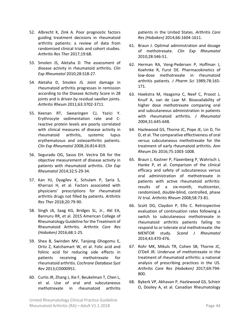- 52. Albrecht K, Zink A. Poor prognostic factors guiding treatment decisions in rheumatoid arthritis patients: a review of data from randomized clinical trials and cohort studies. *Arthritis Res Ther* 2017;19:68.
- 53. Smolen JS, Aletaha D. The assessment of disease activity in rheumatoid arthritis. *Clin Exp Rheumatol* 2010;28:S18‐27.
- 54. Aletaha D, Smolen JS. Joint damage in rheumatoid arthritis progresses in remission according to the Disease Activity Score in 28 joints and is driven by residual swollen joints. *Arthritis Rheum* 2011;63:3702‐3711.
- 55. Keenan RT, Swearingen CJ, Yazici Y. Erythrocyte sedimentation rate and C‐ reactive protein levels are poorly correlated with clinical measures of disease activity in rheumatoid arthritis, systemic lupus erythematosus and osteoarthritis patients. *Clin Exp Rheumatol* 2008;26:814‐819.
- 56. Segurado OG, Sasso EH. Vectra DA for the objective measurement of disease activity in patients with rheumatoid arthritis. *Clin Exp Rheumatol* 2014;32:S‐29‐34.
- 57. Kan HJ, Dyagilev K, Schulam P, Saria S, Kharrazi H, et al. Factors associated with physicians' prescriptions for rheumatoid arthritis drugs not filled by patients. *Arthritis Res Ther* 2018;20:79‐90.
- 58. Singh JA, Saag KG, Bridges SL, Jr., Akl EA, Bannuru RR, et al. 2015 American College of Rheumatology Guideline for the Treatment of Rheumatoid Arthritis. *Arthritis Care Res (Hoboken)* 2016;68:1‐25.
- 59. Shea B, Swinden MV, Tanjong Ghogomu E, Ortiz Z, Katchamart W, et al. Folic acid and folinic acid for reducing side effects in patients receiving methotrexate for rheumatoid arthritis. *Cochrane Database Syst Rev* 2013;CD000951.
- 60. Curtis JR, Zhang J, Xie F, Beukelman T, Chen L, et al. Use of oral and subcutaneous methotrexate in rheumatoid arthritis

patients in the United States. *Arthritis Care Res (Hoboken)* 2014;66:1604‐1611.

- 61. Braun J. Optimal administration and dosage of methotrexate. *Clin Exp Rheumatol*  2010;28:S46‐51.
- 62. Herman RA, Veng‐Pedersen P, Hoffman J, Koehnke R, Furst DE. Pharmacokinetics of low‐dose methotrexate in rheumatoid arthritis patients. *J Pharm Sci*  1989;78:165‐ 171.
- 63. Hoekstra M, Haagsma C, Neef C, Proost J, Knuif A, van de Laar M. Bioavailability of higher dose methotrexate comparing oral and subcutaneous administration in patients with rheumatoid arthritis. *J Rheumatol*  2004;31:645‐648.
- 64. Hazlewood GS, Thorne JC, Pope JE, Lin D, Tin D, et al. The comparative effectiveness of oral versus subcutaneous methotrexate for the treatment of early rheumatoid arthritis. *Ann Rheum Dis* 2016;75:1003‐1008.
- 65. Braun J, Kastner P, Flaxenberg P, Wahrisch J, Hanke P, et al. Comparison of the clinical efficacy and safety of subcutaneous versus oral administration of methotrexate in patients with active rheumatoid arthritis: results of a six‐month, multicenter, randomized, double‐blind, controlled, phase IV trial. *Arthritis Rheum* 2008;58:73‐81.
- 66. Scott DG, Claydon P, Ellis C. Retrospective evaluation of continuation rates following a switch to subcutaneous methotrexate in rheumatoid arthritis patients failing to respond to or tolerate oral methotrexate: the MENTOR study. *Scand J Rheumatol*  2014;43:470‐476.
- 67. Rohr MK, Mikuls TR, Cohen SB, Thorne JC, O'Dell JR. Underuse of methotrexate in the treatment of rheumatoid arthritis: a national analysis of prescribing practices in the US. *Arthritis Care Res (Hoboken)*  2017;69:794‐ 800.
- 68. Bykerk VP, Akhavan P, Hazlewood GS, Schieir O, Dooley A, et al. Canadian Rheumatology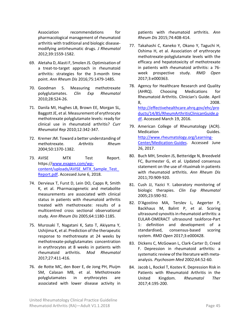Association recommendations for pharmacological management of rheumatoid arthritis with traditional and biologic disease‐ modifying antirheumatic drugs. *J Rheumatol*  2012;39:1559‐1582.

- 69. Aletaha D, Alasti F, Smolen JS. Optimisation of a treat‐to‐target approach in rheumatoid arthritis: strategies for the 3‐month time point. *Ann Rheum Dis* 2016;75:1479‐1485.
- 70. Goodman S. Measuring methotrexate polyglutamates. *Clin Exp Rheumatol*  2010;28:S24‐26.
- 71. Danila MI, Hughes LB, Brown EE, Morgan SL, Baggott JE, et al. Measurement of erythrocyte methotrexate polyglutamate levels: ready for clinical use in rheumatoid arthritis? *Curr Rheumatol Rep* 2010;12:342‐347.
- 72. Kremer JM. Toward a better understanding of methotrexate. *Arthritis Rheum*  2004;50:1370‐1382.
- 73. AVISE MTX Test Report. https://www.exagen.com/wp‐ content/uploads/AVISE\_MTX\_Sample\_Test Report.pdf. Accessed June 6, 2018.
- 74. Dervieux T, Furst D, Lein DO, Capps R, Smith K, et al. Pharmacogenetic and metabolite measurements are associated with clinical status in patients with rheumatoid arthritis treated with methotrexate: results of a multicentred cross sectional observational study. *Ann Rheum Dis* 2005;64:1180‐1185.
- 75. Murosaki T, Nagatani K, Sato T, Akiyama Y, Ushijima K, et al. Prediction of the therapeutic response to methotrexate at 24 weeks by methotrexate‐polyglutamates concentration in erythrocytes at 8 weeks in patients with rheumatoid arthritis. *Mod Rheumatol*  2017;27:411‐416.
- 76. de Rotte MC, den Boer E, de Jong PH, Pluijm SM, Calasan MB, et al. Methotrexate polyglutamates in erythrocytes are associated with lower disease activity in

patients with rheumatoid arthritis. *Ann Rheum Dis* 2015;74:408‐414.

- 77. Takahashi C, Kaneko Y, Okano Y, Taguchi H, Oshima H, et al. Association of erythrocyte methotrexate‐polyglutamate levels with the efficacy and hepatotoxicity of methotrexate in patients with rheumatoid arthritis: a 76‐ week prospective study. *RMD Open*  2017;3:e000363.
- 78. Agency for Healthcare Research and Quality (AHRQ). Choosing Medications for Rheumatoid Arthritis. Clinician's Guide. April 8, 2008. http://effectivehealthcare.ahrq.gov/ehc/pro ducts/14/85/RheumArthritisClinicanGuide.p df. Accessed March 19, 2016.
- 79. American College of Rheumatology (ACR). Medication **Guides**. http://www.rheumatology.org/Learning‐ Center/Medication‐Guides. Accessed June 26, 2017.
- 80. Buch MH, Smolen JS, Betteridge N, Breedveld FC, Burmester G, et al. Updated consensus statement on the use of rituximab in patients with rheumatoid arthritis. *Ann Rheum Dis*  2011;70:909‐920.
- 81. Cush JJ, Yazici Y. Laboratory monitoring of biologic therapies. *Clin Exp Rheumatol*  2005;23:S90‐92.
- 82. D'Agostino MA, Terslev L, Aegerter P, Backhaus M, Balint P, et al. Scoring ultrasound synovitis in rheumatoid arthritis: a EULAR‐OMERACT ultrasound taskforce‐Part 1: definition and development of a standardised, consensus‐based scoring system. *RMD Open* 2017;3:e000428.
- 83. Dickens C, McGowan L, Clark‐Carter D, Creed F. Depression in rheumatoid arthritis: a systematic review of the literature with meta‐ analysis. *Psychosom Med* 2002;64:52‐60.
- 84. Jacob L, Rockel T, Kostev K. Depression Risk in Patients with Rheumatoid Arthritis in the United Kingdom. *Rheumatol Ther*  2017;4:195‐200.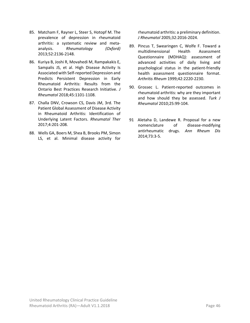- 85. Matcham F, Rayner L, Steer S, Hotopf M. The prevalence of depression in rheumatoid arthritis: a systematic review and meta‐ analysis. *Rheumatology (Oxford)*  2013;52:2136‐2148.
- 86. Kuriya B, Joshi R, Movahedi M, Rampakakis E, Sampalis JS, et al. High Disease Activity Is Associated with Self‐reported Depression and Predicts Persistent Depression in Early Rheumatoid Arthritis: Results from the Ontario Best Practices Research Initiative. *J Rheumatol* 2018;45:1101‐1108.
- 87. Challa DNV, Crowson CS, Davis JM, 3rd. The Patient Global Assessment of Disease Activity in Rheumatoid Arthritis: Identification of Underlying Latent Factors. *Rheumatol Ther*  2017;4:201‐208.
- 88. Wells GA, Boers M, Shea B, Brooks PM, Simon LS, et al. Minimal disease activity for

rheumatoid arthritis: a preliminary definition. *J Rheumatol* 2005;32:2016‐2024.

- 89. Pincus T, Swearingen C, Wolfe F. Toward a multidimensional Health Assessment Questionnaire (MDHAQ): assessment of advanced activities of daily living and psychological status in the patient‐friendly health assessment questionnaire format. *Arthritis Rheum* 1999;42:2220‐2230.
- 90. Grossec L. Patient‐reported outcomes in rheumatoid arthritis: why are they important and how should they be assessed. *Turk J Rheumatol* 2010;25:99‐104.
- 91 Aletaha D, Landewe R. Proposal for a new nomenclature of disease-modifying antirheumatic drugs. *Ann Rheum Dis*  2014;73:3‐5.